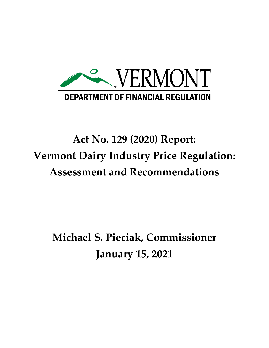

# **Act No. 129 (2020) Report: Vermont Dairy Industry Price Regulation: Assessment and Recommendations**

**Michael S. Pieciak, Commissioner January 15, 2021**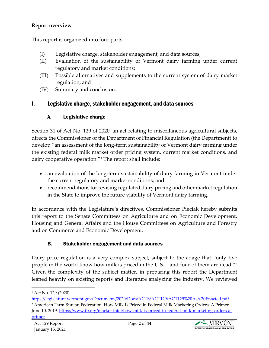#### **Report overview**

This report is organized into four parts:

- (I) Legislative charge, stakeholder engagement, and data sources;
- (II) Evaluation of the sustainability of Vermont dairy farming under current regulatory and market conditions;
- (III) Possible alternatives and supplements to the current system of dairy market regulation; and
- (IV) Summary and conclusion.

## I. Legislative charge, stakeholder engagement, and data sources

## A. Legislative charge

Section 31 of Act No. 129 of 2020, an act relating to miscellaneous agricultural subjects, directs the Commissioner of the Department of Financial Regulation (the Department) to develop "an assessment of the long-term sustainability of Vermont dairy farming under the existing federal milk market order pricing system, current market conditions, and dairy cooperative operation."[1](#page-1-0) The report shall include:

- an evaluation of the long-term sustainability of dairy farming in Vermont under the current regulatory and market conditions; and
- recommendations for revising regulated dairy pricing and other market regulation in the State to improve the future viability of Vermont dairy farming.

In accordance with the Legislature's directives, Commissioner Pieciak hereby submits this report to the Senate Committees on Agriculture and on Economic Development, Housing and General Affairs and the House Committees on Agriculture and Forestry and on Commerce and Economic Development.

## B. Stakeholder engagement and data sources

Dairy price regulation is a very complex subject, subject to the adage that "only five people in the world know how milk is priced in the U.S. – and four of them are dead."[2](#page-1-1) Given the complexity of the subject matter, in preparing this report the Department leaned heavily on existing reports and literature analyzing the industry. We reviewed



<span id="page-1-0"></span><sup>1</sup> Act No. 129 (2020).

<span id="page-1-1"></span><https://legislature.vermont.gov/Documents/2020/Docs/ACTS/ACT129/ACT129%20As%20Enacted.pdf> <sup>2</sup> American Farm Bureau Federation. How Milk Is Priced in Federal Milk Marketing Orders: A Primer. June 10, 2019. [https://www.fb.org/market-intel/how-milk-is-priced-in-federal-milk-marketing-orders-a](https://www.fb.org/market-intel/how-milk-is-priced-in-federal-milk-marketing-orders-a-primer)[primer](https://www.fb.org/market-intel/how-milk-is-priced-in-federal-milk-marketing-orders-a-primer)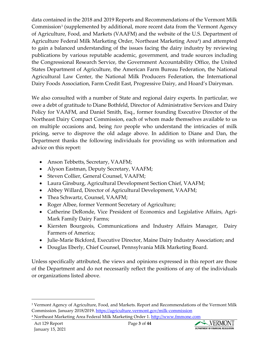data contained in the 2018 and 2019 Reports and Recommendations of the Vermont Milk Commission<sup>[3](#page-2-0)</sup> (supplemented by additional, more recent data from the Vermont Agency of Agriculture, Food, and Markets (VAAFM) and the website of the U.S. Department of Agriculture Federal Milk Marketing Order, Northeast Marketing Area<sup>[4](#page-2-1)</sup>) and attempted to gain a balanced understanding of the issues facing the dairy industry by reviewing publications by various reputable academic, government, and trade sources including the Congressional Research Service, the Government Accountability Office, the United States Department of Agriculture, the American Farm Bureau Federation, the National Agricultural Law Center, the National Milk Producers Federation, the International Dairy Foods Association, Farm Credit East, Progressive Dairy, and Hoard's Dairyman.

We also consulted with a number of State and regional dairy experts. In particular, we owe a debt of gratitude to Diane Bothfeld, Director of Administrative Services and Dairy Policy for VAAFM, and Daniel Smith, Esq., former founding Executive Director of the Northeast Dairy Compact Commission, each of whom made themselves available to us on multiple occasions and, being *two* people who understand the intricacies of milk pricing, serve to disprove the old adage above. In addition to Diane and Dan, the Department thanks the following individuals for providing us with information and advice on this report:

- Anson Tebbetts, Secretary, VAAFM;
- Alyson Eastman, Deputy Secretary, VAAFM;
- Steven Collier, General Counsel, VAAFM;
- Laura Ginsburg, Agricultural Development Section Chief, VAAFM;
- Abbey Willard, Director of Agricultural Development, VAAFM;
- Thea Schwartz, Counsel, VAAFM;
- Roger Albee, former Vermont Secretary of Agriculture;
- Catherine DeRonde, Vice President of Economics and Legislative Affairs, Agri-Mark Family Dairy Farms;
- Kiersten Bourgeois, Communications and Industry Affairs Manager, Dairy Farmers of America;
- Julie-Marie Bickford, Executive Director, Maine Dairy Industry Association; and
- Douglas Eberly, Chief Counsel, Pennsylvania Milk Marketing Board.

Unless specifically attributed, the views and opinions expressed in this report are those of the Department and do not necessarily reflect the positions of any of the individuals or organizations listed above.



<span id="page-2-0"></span><sup>3</sup> Vermont Agency of Agriculture, Food, and Markets. Report and Recommendations of the Vermont Milk Commission. January 2018/2019.<https://agriculture.vermont.gov/milk-commission>

<span id="page-2-1"></span><sup>&</sup>lt;sup>4</sup> Northeast Marketing Area Federal Milk Marketing Order 1. [http://www.fmmone.com](http://www.fmmone.com/)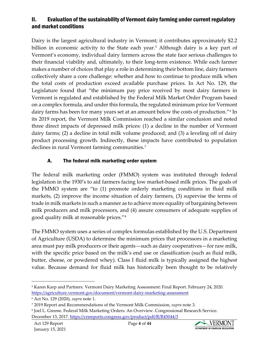## II. Evaluation of the sustainability of Vermont dairy farming under current regulatory and market conditions

Dairy is the largest agricultural industry in Vermont; it contributes approximately \$2.2 billion in economic activity to the State each year.<sup>5</sup> Although dairy is a key part of Vermont's economy, individual dairy farmers across the state face serious challenges to their financial viability and, ultimately, to their long-term existence. While each farmer makes a number of choices that play a role in determining their bottom line, dairy farmers collectively share a core challenge: whether and how to continue to produce milk when the total costs of production exceed available purchase prices. In Act No. 129, the Legislature found that "the minimum pay price received by most dairy farmers in Vermont is regulated and established by the Federal Milk Market Order Program based on a complex formula, and under this formula, the regulated minimum price for Vermont dairy farms has been for many years set at an amount below the costs of production."<sup>[6](#page-3-1)</sup> In its 2019 report, the Vermont Milk Commission reached a similar conclusion and noted three direct impacts of depressed milk prices: (1) a decline in the number of Vermont dairy farms; (2) a decline in total milk volume produced; and (3) a leveling off of dairy product processing growth. Indirectly, these impacts have contributed to population declines in rural Vermont farming communities.<sup>[7](#page-3-2)</sup>

#### A. The federal milk marketing order system

The federal milk marketing order (FMMO) system was instituted through federal legislation in the 1930's to aid farmers facing low market-based milk prices. The goals of the FMMO system are "to (1) promote orderly marketing conditions in fluid milk markets, (2) improve the income situation of dairy farmers, (3) supervise the terms of trade in milk markets in such a manner as to achieve more equality of bargaining between milk producers and milk processors, and (4) assure consumers of adequate supplies of good quality milk at reasonable prices."[8](#page-3-3)

The FMMO system uses a series of complex formulas established by the U.S. Department of Agriculture (USDA) to determine the minimum prices that processors in a marketing area must pay milk producers or their agents—such as dairy cooperatives—for raw milk, with the specific price based on the milk's end use or classification (such as fluid milk, butter, cheese, or powdered whey). Class I fluid milk is typically assigned the highest value. Because demand for fluid milk has historically been thought to be relatively



<span id="page-3-0"></span><sup>5</sup> Karen Karp and Partners. Vermont Dairy Marketing Assessment: Final Report. February 24, 2020. <https://agriculture.vermont.gov/document/vermont-dairy-marketing-assessment>

<span id="page-3-1"></span><sup>6</sup> Act No. 129 (2020), *supra* note 1.

<span id="page-3-2"></span><sup>7</sup> 2019 Report and Recommendations of the Vermont Milk Commission, *supra* note 3.

<span id="page-3-3"></span><sup>8</sup> Joel L. Greene. Federal Milk Marketing Orders: An Overview. Congressional Research Service. December 13, 2017.<https://crsreports.congress.gov/product/pdf/R/R45044/3>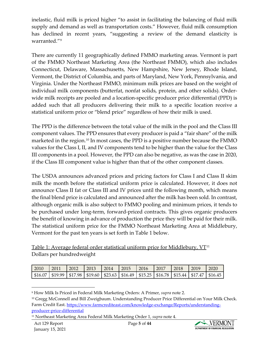inelastic, fluid milk is priced higher "to assist in facilitating the balancing of fluid milk supply and demand as well as transportation costs." However, fluid milk consumption has declined in recent years, "suggesting a review of the demand elasticity is warranted."[9](#page-4-0)

There are currently 11 geographically defined FMMO marketing areas. Vermont is part of the FMMO Northeast Marketing Area (the Northeast FMMO), which also includes Connecticut, Delaware, Massachusetts, New Hampshire, New Jersey, Rhode Island, Vermont, the District of Columbia, and parts of Maryland, New York, Pennsylvania, and Virginia. Under the Northeast FMMO, minimum milk prices are based on the weight of individual milk components (butterfat, nonfat solids, protein, and other solids). Orderwide milk receipts are pooled and a location-specific producer price differential (PPD) is added such that all producers delivering their milk to a specific location receive a statistical uniform price or "blend price" regardless of how their milk is used.

The PPD is the difference between the total value of the milk in the pool and the Class III component values. The PPD ensures that every producer is paid a "fair share" of the milk marketed in the region.[10](#page-4-1) In most cases, the PPD is a positive number because the FMMO values for the Class I, II, and IV components tend to be higher than the value for the Class III components in a pool. However, the PPD can also be negative, as was the case in 2020, if the Class III component value is higher than that of the other component classes.

The USDA announces advanced prices and pricing factors for Class I and Class II skim milk the month before the statistical uniform price is calculated. However, it does not announce Class II fat or Class III and IV prices until the following month, which means the final blend price is calculated and announced after the milk has been sold. In contrast, although organic milk is also subject to FMMO pooling and minimum prices, it tends to be purchased under long-term, forward-priced contracts. This gives organic producers the benefit of knowing in advance of production the price they will be paid for their milk. The statistical uniform price for the FMMO Northeast Marketing Area at Middlebury, Vermont for the past ten years is set forth in Table 1 below.

Table 1: Average federal order statistical uniform price for Middlebury,  $VT<sup>11</sup>$  $VT<sup>11</sup>$  $VT<sup>11</sup>$ Dollars per hundredweight

| 2010                                                                                                        | 2011 | 2012 | 2013 | 2014 | 2015 | 2016 | 2017 | 2018 | 2019 | 2020 |
|-------------------------------------------------------------------------------------------------------------|------|------|------|------|------|------|------|------|------|------|
| \$16.07   \$19.99   \$17.98   \$19.60   \$23.63   \$16.49   \$15.25   \$16.78   \$15.44   \$17.47   \$16.45 |      |      |      |      |      |      |      |      |      |      |

<span id="page-4-0"></span><sup>9</sup> How Milk Is Priced in Federal Milk Marketing Orders: A Primer, *supra* note 2.



<span id="page-4-1"></span><sup>10</sup> Gregg McConnell and Bill Zweigbaum. Understanding Producer Price Differential on Your Milk Check. Farm Credit East. [https://www.farmcrediteast.com/knowledge-exchange/Reports/understanding](https://www.farmcrediteast.com/knowledge-exchange/Reports/understanding-producer-price-differential)[producer-price-differential](https://www.farmcrediteast.com/knowledge-exchange/Reports/understanding-producer-price-differential)

<span id="page-4-2"></span><sup>11</sup> Northeast Marketing Area Federal Milk Marketing Order 1, *supra* note 4.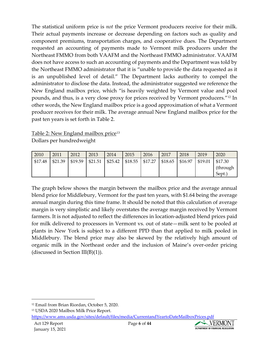The statistical uniform price is *not* the price Vermont producers receive for their milk. Their actual payments increase or decrease depending on factors such as quality and component premiums, transportation charges, and cooperative dues. The Department requested an accounting of payments made to Vermont milk producers under the Northeast FMMO from both VAAFM and the Northeast FMMO administrator. VAAFM does not have access to such an accounting of payments and the Department was told by the Northeast FMMO administrator that it is "unable to provide the data requested as it is an unpublished level of detail." The Department lacks authority to compel the administrator to disclose the data. Instead, the administrator suggested we reference the New England mailbox price, which "is heavily weighted by Vermont value and pool pounds, and thus, is a very close proxy for prices received by Vermont producers."[12](#page-5-0) In other words, the New England mailbox price is a good approximation of what a Vermont producer receives for their milk. The average annual New England mailbox price for the past ten years is set forth in Table 2.

Table 2: New England mailbox price<sup>[13](#page-5-1)</sup> Dollars per hundredweight

| 2010    | 2011    | 2012    | 2013    | 2014    | 2015              | 2016 | 2017    | 2018    | 2019    | 2020                           |
|---------|---------|---------|---------|---------|-------------------|------|---------|---------|---------|--------------------------------|
| \$17.48 | \$21.39 | \$19.59 | \$21.51 | \$25.42 | $$18.55$ $$17.27$ |      | \$18.65 | \$16.97 | \$19.01 | \$17.30<br>(through)<br>Sept.) |

The graph below shows the margin between the mailbox price and the average annual blend price for Middlebury, Vermont for the past ten years, with \$1.64 being the average annual margin during this time frame. It should be noted that this calculation of average margin is very simplistic and likely overstates the average margin received by Vermont farmers. It is not adjusted to reflect the differences in location-adjusted blend prices paid for milk delivered to processors in Vermont vs. out of state—milk sent to be pooled at plants in New York is subject to a different PPD than that applied to milk pooled in Middlebury. The blend price may also be skewed by the relatively high amount of organic milk in the Northeast order and the inclusion of Maine's over-order pricing (discussed in Section III(B)(1)).



<span id="page-5-0"></span><sup>12</sup> Email from Brian Riordan, October 5, 2020.

<span id="page-5-1"></span><sup>13</sup> USDA 2020 Mailbox Milk Price Report.

<https://www.ams.usda.gov/sites/default/files/media/CurrentandYeartoDateMailboxPrices.pdf>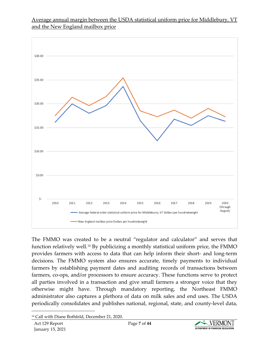## Average annual margin between the USDA statistical uniform price for Middlebury, VT and the New England mailbox price



The FMMO was created to be a neutral "regulator and calculator" and serves that function relatively well.[14](#page-6-0) By publicizing a monthly statistical uniform price, the FMMO provides farmers with access to data that can help inform their short- and long-term decisions. The FMMO system also ensures accurate, timely payments to individual farmers by establishing payment dates and auditing records of transactions between farmers, co-ops, and/or processors to ensure accuracy. These functions serve to protect all parties involved in a transaction and give small farmers a stronger voice that they otherwise might have. Through mandatory reporting, the Northeast FMMO administrator also captures a plethora of data on milk sales and end uses. The USDA periodically consolidates and publishes national, regional, state, and county-level data,



<span id="page-6-0"></span><sup>14</sup> Call with Diane Bothfeld, December 21, 2020.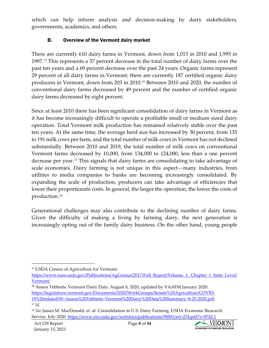which can help inform analysis and decision-making by dairy stakeholders, governments, academics, and others.

#### B. Overview of the Vermont dairy market

There are currently 610 dairy farms in Vermont, down from 1,015 in 2010 and 1,995 in 1997.[15](#page-7-0) This represents a 37 percent decrease in the total number of dairy farms over the past ten years and a 69 percent decrease over the past 24 years. Organic farms represent 29 percent of all dairy farms in Vermont; there are currently 187 certified organic dairy producers in Vermont, down from 203 in 2010.[16](#page-7-1) Between 2010 and 2020, the number of conventional dairy farms decreased by 49 percent and the number of certified organic dairy farms decreased by eight percent.

Since at least 2010 there has been significant consolidation of dairy farms in Vermont as it has become increasingly difficult to operate a profitable small or medium sized dairy operation. Total Vermont milk production has remained relatively stable over the past ten years. At the same time, the average herd size has increased by 30 percent, from 135 to 191 milk cows per farm, and the total number of milk cows in Vermont has not declined substantially. Between 2010 and 2019, the total number of milk cows on conventional Vermont farms decreased by 10,000, from 134,000 to 124,000, less than a one percent decrease per year.[17](#page-7-2) This signals that dairy farms are consolidating to take advantage of scale economies. Dairy farming is not unique in this aspect—many industries, from utilities to media companies to banks are becoming increasingly consolidated. By expanding the scale of production, producers can take advantage of efficiencies that lower their proportionate costs. In general, the larger the operation, the lower the costs of production.[18](#page-7-3)

Generational challenges may also contribute to the declining number of dairy farms. Given the difficulty of making a living by farming dairy, the next generation is increasingly opting out of the family dairy business. On the other hand, young people



<span id="page-7-0"></span><sup>15</sup> USDA Census of Agriculture for Vermont.

[https://www.nass.usda.gov/Publications/AgCensus/2017/Full\\_Report/Volume\\_1,\\_Chapter\\_1\\_State\\_Level/](https://www.nass.usda.gov/Publications/AgCensus/2017/Full_Report/Volume_1,_Chapter_1_State_Level/Vermont/) [Vermont/](https://www.nass.usda.gov/Publications/AgCensus/2017/Full_Report/Volume_1,_Chapter_1_State_Level/Vermont/)

<span id="page-7-1"></span><sup>&</sup>lt;sup>16</sup> Anson Tebbetts. Vermont Dairy Data. August 6, 2020, updated by VAAFM January 2020. [https://legislature.vermont.gov/Documents/2020/WorkGroups/Senate%20Agriculture/COVID-](https://legislature.vermont.gov/Documents/2020/WorkGroups/Senate%20Agriculture/COVID-19%20related/W%7EAnson%20Tebbetts%7EVermont%20Dairy%20Data%20Summary%7E8-25-2020.pdf)[19%20related/W~Anson%20Tebbetts~Vermont%20Dairy%20Data%20Summary~8-25-2020.pdf](https://legislature.vermont.gov/Documents/2020/WorkGroups/Senate%20Agriculture/COVID-19%20related/W%7EAnson%20Tebbetts%7EVermont%20Dairy%20Data%20Summary%7E8-25-2020.pdf) <sup>17</sup> *Id.*

<span id="page-7-3"></span><span id="page-7-2"></span><sup>18</sup> *See* James M. MacDonald, et. al. Consolidation in U.S. Dairy Farming. USDA Economic Research Service. July 2020.<https://www.ers.usda.gov/webdocs/publications/98901/err-274.pdf?v=9742.1>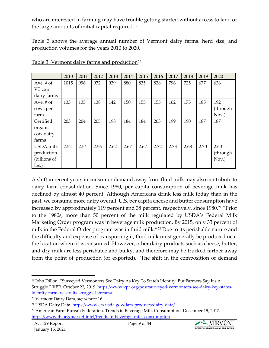who are interested in farming may have trouble getting started without access to land or the large amounts of initial capital required.[19](#page-8-0)

Table 3 shows the average annual number of Vermont dairy farms, herd size, and production volumes for the years 2010 to 2020.

|              | 2010 | 2011 | 2012 | 2013 | 2014 | 2015 | 2016 | 2017 | 2018 | 2019 | 2020     |
|--------------|------|------|------|------|------|------|------|------|------|------|----------|
| Ave. $#$ of  | 1015 | 996  | 972  | 939  | 880  | 835  | 838  | 796  | 725  | 677  | 636      |
| VT cow       |      |      |      |      |      |      |      |      |      |      |          |
| dairy farms  |      |      |      |      |      |      |      |      |      |      |          |
| Ave. $#$ of  | 133  | 135  | 138  | 142  | 150  | 155  | 155  | 162  | 175  | 185  | 192      |
| cows per     |      |      |      |      |      |      |      |      |      |      | (through |
| farm         |      |      |      |      |      |      |      |      |      |      | Nov.)    |
| Certified    | 203  | 204  | 205  | 198  | 184  | 184  | 203  | 199  | 190  | 187  | 187      |
| organic      |      |      |      |      |      |      |      |      |      |      |          |
| cow dairy    |      |      |      |      |      |      |      |      |      |      |          |
| farms        |      |      |      |      |      |      |      |      |      |      |          |
| USDA milk    | 2.52 | 2.54 | 2.56 | 2.62 | 2.67 | 2.67 | 2.72 | 2.73 | 2.68 | 2.70 | 2.60     |
| production   |      |      |      |      |      |      |      |      |      |      | (through |
| (billions of |      |      |      |      |      |      |      |      |      |      | Nov.)    |
| lbs.         |      |      |      |      |      |      |      |      |      |      |          |

|  | Table 3: Vermont dairy farms and production <sup>20</sup> |
|--|-----------------------------------------------------------|
|  |                                                           |

A shift in recent years in consumer demand away from fluid milk may also contribute to dairy farm consolidation. Since 1980, per capita consumption of beverage milk has declined by almost 40 percent. Although Americans drink less milk today than in the past, we consume more dairy overall. U.S. per capita cheese and butter consumption have increased by approximately 119 percent and 38 percent, respectively, since 1980.<sup>[21](#page-8-2)</sup> "Prior to the 1980s, more than 50 percent of the milk regulated by USDA's Federal Milk Marketing Order program was in beverage milk production. By 2015, only 33 percent of milk in the Federal Order program was in fluid milk."<sup>[22](#page-8-3)</sup> Due to its perishable nature and the difficulty and expense of transporting it, fluid milk must generally be produced near the location where it is consumed. However, other dairy products such as cheese, butter, and dry milk are less perishable and bulky, and therefore may be trucked farther away from the point of production (or exported). "The shift in the composition of demand



<span id="page-8-0"></span><sup>19</sup> John Dillon. "Surveyed Vermonters See Dairy As Key To State's Identity, But Farmers Say It's A Struggle." VPR. October 22, 2019. [https://www.vpr.org/post/surveyed-vermonters-see-dairy-key-states](https://www.vpr.org/post/surveyed-vermonters-see-dairy-key-states-identity-farmers-say-its-struggle#stream/0)[identity-farmers-say-its-struggle#stream/0](https://www.vpr.org/post/surveyed-vermonters-see-dairy-key-states-identity-farmers-say-its-struggle#stream/0)

<span id="page-8-1"></span><sup>20</sup> Vermont Dairy Data, *supra* note 16.

<span id="page-8-2"></span><sup>21</sup> USDA Dairy Data.<https://www.ers.usda.gov/data-products/dairy-data/>

<span id="page-8-3"></span><sup>22</sup> American Farm Bureau Federation. Trends in Beverage Milk Consumption. December 19, 2017. <https://www.fb.org/market-intel/trends-in-beverage-milk-consumption>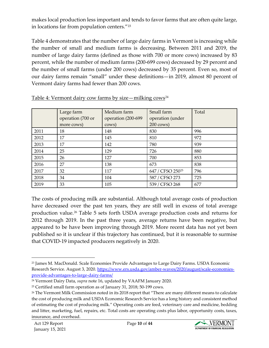makes local production less important and tends to favor farms that are often quite large, in locations far from population centers."[23](#page-9-0)

Table 4 demonstrates that the number of large dairy farms in Vermont is increasing while the number of small and medium farms is decreasing. Between 2011 and 2019, the number of large dairy farms (defined as those with 700 or more cows) increased by 83 percent, while the number of medium farms (200-699 cows) decreased by 29 percent and the number of small farms (under 200 cows) decreased by 35 percent. Even so, most of our dairy farms remain "small" under these definitions—in 2019, almost 80 percent of Vermont dairy farms had fewer than 200 cows.

|      | Large farm        | Medium farm         | Small farm                   | Total |
|------|-------------------|---------------------|------------------------------|-------|
|      | operation (700 or | operation (200-699) | operation (under             |       |
|      | more cows)        | cows)               | $200 \text{ cows}$           |       |
| 2011 | 18                | 148                 | 830                          | 996   |
| 2012 | 17                | 145                 | 810                          | 972   |
| 2013 | 17                | 142                 | 780                          | 939   |
| 2014 | 25                | 129                 | 726                          | 880   |
| 2015 | 26                | 127                 | 700                          | 853   |
| 2016 | 27                | 138                 | 673                          | 838   |
| 2017 | 32                | 117                 | 647 / CFSO 250 <sup>25</sup> | 796   |
| 2018 | 34                | 104                 | 587 / CFSO 273               | 725   |
| 2019 | 33                | 105                 | 539 / CFSO 268               | 677   |

| Table 4: Vermont dairy cow farms by size—milking $\cos^{24}$ |
|--------------------------------------------------------------|
|--------------------------------------------------------------|

The costs of producing milk are substantial. Although total average costs of production have decreased over the past ten years, they are still well in excess of total average production value.[26](#page-9-3) Table 5 sets forth USDA average production costs and returns for 2012 through 2019. In the past three years, average returns have been negative, but appeared to be have been improving through 2019. More recent data has not yet been published so it is unclear if this trajectory has continued, but it is reasonable to surmise that COVID-19 impacted producers negatively in 2020.



<span id="page-9-0"></span><sup>&</sup>lt;sup>23</sup> James M. MacDonald. Scale Economies Provide Advantages to Large Dairy Farms. USDA Economic Research Service. August 3, 2020. [https://www.ers.usda.gov/amber-waves/2020/august/scale-economies](https://www.ers.usda.gov/amber-waves/2020/august/scale-economies-provide-advantages-to-large-dairy-farms/)[provide-advantages-to-large-dairy-farms/](https://www.ers.usda.gov/amber-waves/2020/august/scale-economies-provide-advantages-to-large-dairy-farms/)

<span id="page-9-1"></span><sup>24</sup> Vermont Dairy Data, *supra* note 16, updated by VAAFM January 2020.

<span id="page-9-2"></span><sup>25</sup> Certified small farm operation as of January 31, 2018; 50-199 cows.

<span id="page-9-3"></span><sup>&</sup>lt;sup>26</sup> The Vermont Milk Commission noted in its 2018 report that "There are many different means to calculate the cost of producing milk and USDA Economic Research Service has a long history and consistent method of estimating the cost of producing milk." Operating costs are feed, veterinary care and medicine, bedding and litter, marketing, fuel, repairs, etc. Total costs are operating costs plus labor, opportunity costs, taxes, insurance, and overhead.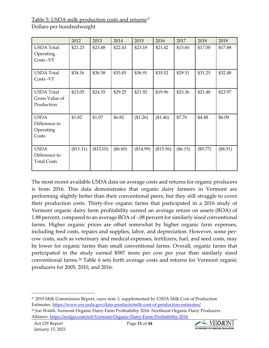Table 5: USDA milk production costs and returns<sup>[27](#page-10-0)</sup>

Dollars per hundredweight

|                                                    | 2012      | 2013      | 2014       | 2015      | 2016      | 2017       | 2018       | 2019       |
|----------------------------------------------------|-----------|-----------|------------|-----------|-----------|------------|------------|------------|
| <b>USDA</b> Total<br>Operating<br>Costs -VT        | \$21.23   | \$23.48   | \$22.43    | \$23.18   | \$21.42   | \$15.60    | \$17.00    | \$17.88    |
| <b>USDA</b> Total<br>Costs - VT                    | \$34.16   | \$36.58   | \$35.85    | \$36.91   | \$35.52   | \$29.51    | \$31.25    | \$32.48    |
| <b>USDA</b> Total<br>Gross Value of<br>Production  | \$23.05   | \$24.55   | \$29.25    | \$21.92   | \$19.96   | \$23.36    | \$21.48    | \$23.97    |
| <b>USDA</b><br>Difference to<br>Operating<br>Costs | \$1.82    | \$1.07    | \$6.82     | (\$1.26)  | (\$1.46)  | \$7.76     | \$4.48     | \$6.09     |
| <b>USDA</b><br>Difference to<br><b>Total Costs</b> | (\$11.11) | (\$12.03) | $(\$6.60)$ | (\$14.99) | (\$15.56) | $(\$6.15)$ | $(\$9.77)$ | $(\$8.51)$ |

The most recent available USDA data on average costs and returns for organic producers is from 2016. This data demonstrates that organic dairy farmers in Vermont are performing slightly better than their conventional peers, but they still struggle to cover their production costs. Thirty-five organic farms that participated in a 2016 study of Vermont organic dairy farm profitability earned an average return on assets (ROA) of 1.88 percent, compared to an average ROA of -.08 percent for similarly sized conventional farms. Higher organic prices are offset somewhat by higher organic farm expenses, including feed costs, repairs and supplies, labor, and depreciation. However, some percow costs, such as veterinary and medical expenses, fertilizers, fuel, and seed costs, may be lower for organic farms than small conventional farms. Overall, organic farms that participated in the study earned \$587 more per cow per year than similarly sized conventional farms.[28](#page-10-1) Table 6 sets forth average costs and returns for Vermont organic producers for 2005, 2010, and 2016.



<span id="page-10-1"></span><span id="page-10-0"></span><sup>27</sup> 2019 Milk Commission Report, *supra* note 3, supplemented by USDA Milk Cost of Production Estimates.<https://www.ers.usda.gov/data-products/milk-cost-of-production-estimates/> <sup>28</sup> Jon Walsh. Vermont Organic Dairy Farm Profitability 2016. Northeast Organic Dairy Producers Alliance.<https://nodpa.com/n/6/Vermont-Organic-Dairy-Farm-Profitability-2016>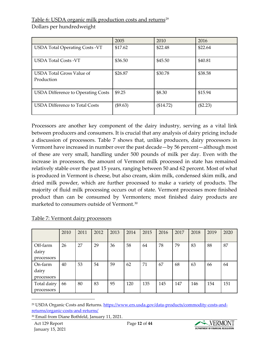## Table 6: USDA organic milk production costs and returns<sup>[29](#page-11-0)</sup>

Dollars per hundredweight

|                                                | 2005     | 2010      | 2016     |
|------------------------------------------------|----------|-----------|----------|
| <b>USDA Total Operating Costs -VT</b>          | \$17.62  | \$22.48   | \$22.64  |
| <b>USDA Total Costs -VT</b>                    | \$36.50  | \$45.50   | \$40.81  |
| <b>USDA Total Gross Value of</b><br>Production | \$26.87  | \$30.78   | \$38.58  |
| <b>USDA Difference to Operating Costs</b>      | \$9.25   | \$8.30    | \$15.94  |
| <b>USDA Difference to Total Costs</b>          | (\$9.63) | (\$14.72) | (\$2.23) |

Processors are another key component of the dairy industry, serving as a vital link between producers and consumers. It is crucial that any analysis of dairy pricing include a discussion of processors. Table 7 shows that, unlike producers, dairy processors in Vermont have increased in number over the past decade—by 56 percent—although most of these are very small, handling under 500 pounds of milk per day. Even with the increase in processors, the amount of Vermont milk processed in state has remained relatively stable over the past 15 years, ranging between 50 and 62 percent. Most of what is produced in Vermont is cheese, but also cream, skim milk, condensed skim milk, and dried milk powder, which are further processed to make a variety of products. The majority of fluid milk processing occurs out of state. Vermont processes more finished product than can be consumed by Vermonters; most finished dairy products are marketed to consumers outside of Vermont.[30](#page-11-1)

|                                 | 2010 | 2011 | 2012 | 2013 | 2014 | 2015 | 2016 | 2017 | 2018 | 2019 | 2020 |
|---------------------------------|------|------|------|------|------|------|------|------|------|------|------|
| Off-farm<br>dairy<br>processors | 26   | 27   | 29   | 36   | 58   | 64   | 78   | 79   | 83   | 88   | 87   |
| On-farm<br>dairy<br>processors  | 40   | 53   | 54   | 59   | 62   | 71   | 67   | 68   | 63   | 66   | 64   |
| Total dairy<br>processors       | 66   | 80   | 83   | 95   | 120  | 135  | 145  | 147  | 146  | 154  | 151  |

#### Table 7: Vermont dairy processors



<span id="page-11-0"></span><sup>&</sup>lt;sup>29</sup> USDA Organic Costs and Returns. [https://www.ers.usda.gov/data-products/commodity-costs-and](https://www.ers.usda.gov/data-products/commodity-costs-and-returns/organic-costs-and-returns/)[returns/organic-costs-and-returns/](https://www.ers.usda.gov/data-products/commodity-costs-and-returns/organic-costs-and-returns/)

<span id="page-11-1"></span><sup>30</sup> Email from Diane Bothfeld, January 11, 2021.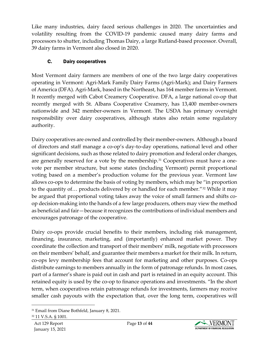Like many industries, dairy faced serious challenges in 2020. The uncertainties and volatility resulting from the COVID-19 pandemic caused many dairy farms and processors to shutter, including Thomas Dairy, a large Rutland-based processor. Overall, 39 dairy farms in Vermont also closed in 2020.

## C. Dairy cooperatives

Most Vermont dairy farmers are members of one of the two large dairy cooperatives operating in Vermont: Agri-Mark Family Dairy Farms (Agri-Mark); and Dairy Farmers of America (DFA). Agri-Mark, based in the Northeast, has 164 member farms in Vermont. It recently merged with Cabot Creamery Cooperative. DFA, a large national co-op that recently merged with St. Albans Cooperative Creamery, has 13,400 member-owners nationwide and 342 member-owners in Vermont. The USDA has primary oversight responsibility over dairy cooperatives, although states also retain some regulatory authority.

Dairy cooperatives are owned and controlled by their member-owners. Although a board of directors and staff manage a co-op's day-to-day operations, national level and other significant decisions, such as those related to dairy promotion and federal order changes, are generally reserved for a vote by the membership.<sup>[31](#page-12-0)</sup> Cooperatives must have a onevote per member structure, but some states (including Vermont) permit proportional voting based on a member's production volume for the previous year. Vermont law allows co-ops to determine the basis of voting by members, which may be "in proportion to the quantity of… products delivered by or handled for each member."[32](#page-12-1) While it may be argued that proportional voting takes away the voice of small farmers and shifts coop decision-making into the hands of a few large producers, others may view the method as beneficial and fair—because it recognizes the contributions of individual members and encourages patronage of the cooperative.

Dairy co-ops provide crucial benefits to their members, including risk management, financing, insurance, marketing, and (importantly) enhanced market power. They coordinate the collection and transport of their members' milk, negotiate with processors on their members' behalf, and guarantee their members a market for their milk. In return, co-ops levy membership fees that account for marketing and other purposes. Co-ops distribute earnings to members annually in the form of patronage refunds. In most cases, part of a farmer's share is paid out in cash and part is retained in an equity account. This retained equity is used by the co-op to finance operations and investments. "In the short term, when cooperatives retain patronage refunds for investments, farmers may receive smaller cash payouts with the expectation that, over the long term, cooperatives will



<span id="page-12-1"></span><span id="page-12-0"></span><sup>31</sup> Email from Diane Bothfeld, January 8, 2021.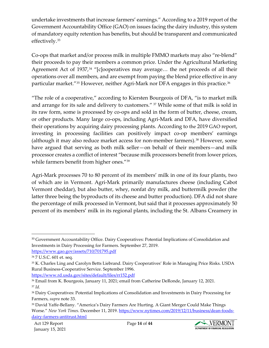undertake investments that increase farmers' earnings." According to a 2019 report of the Government Accountability Office (GAO) on issues facing the dairy industry, this system of mandatory equity retention has benefits, but should be transparent and communicated effectively.[33](#page-13-0)

Co-ops that market and/or process milk in multiple FMMO markets may also "re-blend" their proceeds to pay their members a common price. Under the Agricultural Marketing Agreement Act of 1937,<sup>[34](#page-13-1)</sup> "[c]ooperatives may average... the net proceeds of all their operations over all members, and are exempt from paying the blend price effective in any particular market."<sup>[35](#page-13-2)</sup> However, neither Agri-Mark nor DFA engages in this practice.<sup>[36](#page-13-3)</sup>

"The role of a cooperative," according to Kiersten Bourgeois of DFA, "is to market milk and arrange for its sale and delivery to customers." [37](#page-13-4) While some of that milk is sold in its raw form, some is processed by co-ops and sold in the form of butter, cheese, cream, or other products. Many large co-ops, including Agri-Mark and DFA, have diversified their operations by acquiring dairy processing plants. According to the 2019 GAO report, investing in processing facilities can positively impact co-op members' earnings (although it may also reduce market access for non-member farmers).[38](#page-13-5) However, some have argued that serving as both milk seller—on behalf of their members—and milk processor creates a conflict of interest "because milk processors benefit from lower prices, while farmers benefit from higher ones.["39](#page-13-6)

Agri-Mark processes 70 to 80 percent of its members' milk in one of its four plants, two of which are in Vermont. Agri-Mark primarily manufactures cheese (including Cabot Vermont cheddar), but also butter, whey, nonfat dry milk, and buttermilk powder (the latter three being the byproducts of its cheese and butter production). DFA did not share the percentage of milk processed in Vermont, but said that it processes approximately 50 percent of its members' milk in its regional plants, including the St. Albans Creamery in

<https://www.rd.usda.gov/sites/default/files/rr152.pdf>



<span id="page-13-0"></span><sup>&</sup>lt;sup>33</sup> Government Accountability Office. Dairy Cooperatives: Potential Implications of Consolidation and Investments in Dairy Processing for Farmers. September 27, 2019. <https://www.gao.gov/assets/710/701795.pdf>

<span id="page-13-1"></span><sup>34</sup> 7 U.S.C. 601 et. seq.

<span id="page-13-2"></span><sup>35</sup> K. Charles Ling and Carolyn Betts Liebrand. Dairy Cooperatives' Role in Managing Price Risks. USDA Rural Business-Cooperative Service. September 1996.

<span id="page-13-4"></span><span id="page-13-3"></span><sup>36</sup> Email from K. Bourgeois, January 11, 2021; email from Catherine DeRonde, January 12, 2021. <sup>37</sup> *Id.*

<span id="page-13-5"></span><sup>38</sup> Dairy Cooperatives: Potential Implications of Consolidation and Investments in Dairy Processing for Farmers, *supra* note 33.

<span id="page-13-6"></span><sup>39</sup> David Yaffe-Bellany. "America's Dairy Farmers Are Hurting. A Giant Merger Could Make Things Worse." *New York Times*. December 11, 2019[. https://www.nytimes.com/2019/12/11/business/dean-foods](https://www.nytimes.com/2019/12/11/business/dean-foods-dairy-farmers-antitrust.html)[dairy-farmers-antitrust.html](https://www.nytimes.com/2019/12/11/business/dean-foods-dairy-farmers-antitrust.html)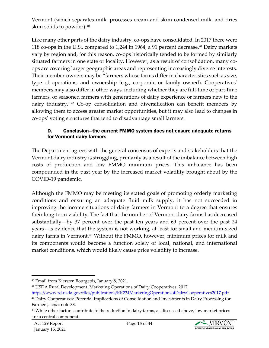Vermont (which separates milk, processes cream and skim condensed milk, and dries skim solids to powder).[40](#page-14-0)

Like many other parts of the dairy industry, co-ops have consolidated. In 2017 there were 118 co-ops in the U.S., compared to 1,244 in 1964, a 91 percent decrease.<sup>[41](#page-14-1)</sup> Dairy markets vary by region and, for this reason, co-ops historically tended to be formed by similarly situated farmers in one state or locality. However, as a result of consolidation, many coops are covering larger geographic areas and representing increasingly diverse interests. Their member-owners may be "farmers whose farms differ in characteristics such as size, type of operations, and ownership (e.g., corporate or family owned). Cooperatives' members may also differ in other ways, including whether they are full-time or part-time farmers, or seasoned farmers with generations of dairy experience or farmers new to the dairy industry."[42](#page-14-2) Co-op consolidation and diversification can benefit members by allowing them to access greater market opportunities, but it may also lead to changes in co-ops' voting structures that tend to disadvantage small farmers.

#### D. Conclusion—the current FMMO system does not ensure adequate returns for Vermont dairy farmers

The Department agrees with the general consensus of experts and stakeholders that the Vermont dairy industry is struggling, primarily as a result of the imbalance between high costs of production and low FMMO minimum prices. This imbalance has been compounded in the past year by the increased market volatility brought about by the COVID-19 pandemic.

Although the FMMO may be meeting its stated goals of promoting orderly marketing conditions and ensuring an adequate fluid milk supply, it has not succeeded in improving the income situations of dairy farmers in Vermont to a degree that ensures their long-term viability. The fact that the number of Vermont dairy farms has decreased substantially—by 37 percent over the past ten years and 69 percent over the past 24 years—is evidence that the system is not working, at least for small and medium-sized dairy farms in Vermont.<sup>[43](#page-14-3)</sup> Without the FMMO, however, minimum prices for milk and its components would become a function solely of local, national, and international market conditions, which would likely cause price volatility to increase.



<span id="page-14-0"></span><sup>40</sup> Email from Kiersten Bourgeois, January 8, 2021.

<span id="page-14-1"></span><sup>41</sup> USDA Rural Development. Marketing Operations of Dairy Cooperatives: 2017.

<https://www.rd.usda.gov/files/publications/RR234MarketingOperationsofDairyCooperatives2017.pdf>

<span id="page-14-2"></span><sup>42</sup> Dairy Cooperatives: Potential Implications of Consolidation and Investments in Dairy Processing for Farmers, *supra* note 33.

<span id="page-14-3"></span><sup>43</sup> While other factors contribute to the reduction in dairy farms, as discussed above, low market prices are a central component.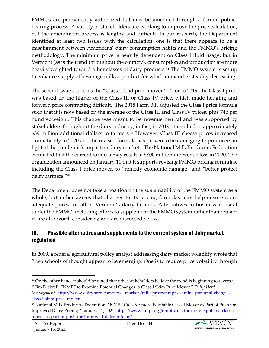FMMOs are permanently authorized but may be amended through a formal publichearing process. A variety of stakeholders are working to improve the price calculation, but the amendment process is lengthy and difficult. In our research, the Department identified at least two issues with the calculation: one is that there appears to be a misalignment between Americans' dairy consumption habits and the FMMO's pricing methodology. The minimum price is heavily dependent on Class I fluid usage, but in Vermont (as is the trend throughout the country), consumption and production are more heavily weighted toward other classes of dairy products.<sup>[44](#page-15-0)</sup> The FMMO system is set up to enhance supply of beverage milk, a product for which demand is steadily decreasing.

The second issue concerns the "Class I fluid price mover." Prior to 2019, the Class I price was based on the higher of the Class III or Class IV price, which made hedging and forward price contracting difficult. The 2018 Farm Bill adjusted the Class I price formula such that it is now based on the average of the Class III and Class IV prices, plus 74¢ per hundredweight. This change was meant to be revenue neutral and was supported by stakeholders throughout the dairy industry; in fact, in 2019, it resulted in approximately \$39 million additional dollars to farmers. [45](#page-15-1) However, Class III cheese prices increased dramatically in 2020 and the revised formula has proven to be damaging to producers in light of the pandemic's impact on dairy markets. The National Milk Producers Federation estimated that the current formula may result in \$800 million in revenue loss in 2020. The organization announced on January 11 that it supports revising FMMO pricing formulas, including the Class I price mover, to "remedy economic damage" and "better protect dairy farmers."<sup>[46](#page-15-2)</sup>

The Department does not take a position on the sustainability of the FMMO system as a whole, but rather agrees that changes to its pricing formulas may help ensure more adequate prices for all of Vermont's dairy farmers. Alternatives to business-as-usual under the FMMO, including efforts to supplement the FMMO system rather than replace it, are also worth considering and are discussed below.

## III. Possible alternatives and supplements to the current system of dairy market regulation

In 2009, a federal agricultural policy analyst addressing dairy market volatility wrote that "two schools of thought appear to be emerging. One is to reduce price volatility through



<span id="page-15-0"></span><sup>&</sup>lt;sup>44</sup> On the other hand, it should be noted that other stakeholders believe the trend is beginning to reverse. <sup>45</sup> Jim Dickrell. "NMPF to Examine Potential Changes to Class I Skim Price Mover." *Dairy Herd* 

<span id="page-15-1"></span>*Management*. [https://www.dairyherd.com/news-markets/milk-prices/nmpf-examine-potential-changes](https://www.dairyherd.com/news-markets/milk-prices/nmpf-examine-potential-changes-class-i-skim-price-mover)[class-i-skim-price-mover](https://www.dairyherd.com/news-markets/milk-prices/nmpf-examine-potential-changes-class-i-skim-price-mover)

<span id="page-15-2"></span><sup>46</sup> National Milk Producers Federation. "NMPF Calls for more Equitable Class I Mover as Part of Push for Improved Dairy Pricing." January 11, 2021. [https://www.nmpf.org/nmpf-calls-for-more-equitable-class-i](https://www.nmpf.org/nmpf-calls-for-more-equitable-class-i-mover-as-part-of-push-for-improved-dairy-pricing/)[mover-as-part-of-push-for-improved-dairy-pricing/](https://www.nmpf.org/nmpf-calls-for-more-equitable-class-i-mover-as-part-of-push-for-improved-dairy-pricing/)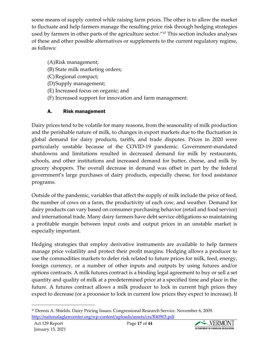some means of supply control while raising farm prices. The other is to allow the market to fluctuate and help farmers manage the resulting price risk through hedging strategies used by farmers in other parts of the agriculture sector."[47](#page-16-0) This section includes analyses of these and other possible alternatives or supplements to the current regulatory regime, as follows:

- (A)Risk management;
- (B) State milk marketing orders;
- (C)Regional compact;
- (D)Supply management;
- (E) Increased focus on organic; and
- (F) Increased support for innovation and farm management.

## A. Risk management

Dairy prices tend to be volatile for many reasons, from the seasonality of milk production and the perishable nature of milk, to changes in export markets due to the fluctuation in global demand for dairy products, tariffs, and trade disputes. Prices in 2020 were particularly unstable because of the COVID-19 pandemic. Government-mandated shutdowns and limitations resulted in decreased demand for milk by restaurants, schools, and other institutions and increased demand for butter, cheese, and milk by grocery shoppers. The overall decrease in demand was offset in part by the federal government's large purchases of dairy products, especially cheese, for food assistance programs.

Outside of the pandemic, variables that affect the supply of milk include the price of feed, the number of cows on a farm, the productivity of each cow, and weather. Demand for dairy products can vary based on consumer purchasing behavior (retail and food service) and international trade. Many dairy farmers have debt service obligations so maintaining a profitable margin between input costs and output prices in an unstable market is especially important.

Hedging strategies that employ derivative instruments are available to help farmers manage price volatility and protect their profit margins. Hedging allows a producer to use the commodities markets to defer risk related to future prices for milk, feed, energy, foreign currency, or a number of other inputs and outputs by using futures and/or options contracts. A milk futures contract is a binding legal agreement to buy or sell a set quantity and quality of milk at a predetermined price at a specified time and place in the future. A futures contract allows a milk producer to lock in current high prices they expect to decrease (or a processor to lock in current low prices they expect to increase). If



<span id="page-16-0"></span><sup>47</sup> Dennis A. Shields. Dairy Pricing Issues. Congressional Research Service. November 6, 2009. <http://nationalaglawcenter.org/wp-content/uploads/assets/crs/R40903.pdf>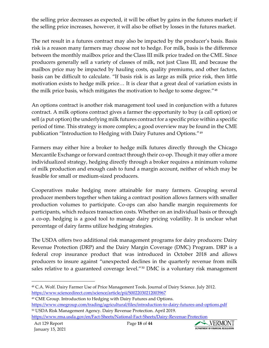the selling price decreases as expected, it will be offset by gains in the futures market; if the selling price increases, however, it will also be offset by losses in the futures market.

The net result in a futures contract may also be impacted by the producer's basis. Basis risk is a reason many farmers may choose not to hedge. For milk, basis is the difference between the monthly mailbox price and the Class III milk price traded on the CME. Since producers generally sell a variety of classes of milk, not just Class III, and because the mailbox price may be impacted by hauling costs, quality premiums, and other factors, basis can be difficult to calculate. "If basis risk is as large as milk price risk, then little motivation exists to hedge milk price… It is clear that a great deal of variation exists in the milk price basis, which mitigates the motivation to hedge to some degree."<sup>[48](#page-17-0)</sup>

An options contract is another risk management tool used in conjunction with a futures contract. A milk options contract gives a farmer the opportunity to buy (a call option) or sell (a put option) the underlying milk futures contract for a specific price within a specific period of time. This strategy is more complex; a good overview may be found in the CME publication "Introduction to Hedging with Dairy Futures and Options."[49](#page-17-1)

Farmers may either hire a broker to hedge milk futures directly through the Chicago Mercantile Exchange or forward contract through their co-op. Though it may offer a more individualized strategy, hedging directly through a broker requires a minimum volume of milk production and enough cash to fund a margin account, neither of which may be feasible for small or medium-sized producers.

Cooperatives make hedging more attainable for many farmers. Grouping several producer members together when taking a contract position allows farmers with smaller production volumes to participate. Co-ops can also handle margin requirements for participants, which reduces transaction costs. Whether on an individual basis or through a co-op, hedging is a good tool to manage dairy pricing volatility. It is unclear what percentage of dairy farms utilize hedging strategies.

The USDA offers two additional risk management programs for dairy producers: Dairy Revenue Protection (DRP) and the Dairy Margin Coverage (DMC) Program. DRP is a federal crop insurance product that was introduced in October 2018 and allows producers to insure against "unexpected declines in the quarterly revenue from milk sales relative to a guaranteed coverage level."<sup>[50](#page-17-2)</sup> DMC is a voluntary risk management



<span id="page-17-0"></span><sup>48</sup> C.A. Wolf. Dairy Farmer Use of Price Management Tools. Journal of Dairy Science. July 2012. <https://www.sciencedirect.com/science/article/pii/S0022030212003967>

<span id="page-17-1"></span><sup>49</sup> CME Group. Introduction to Hedging with Dairy Futures and Options.

<span id="page-17-2"></span><https://www.cmegroup.com/trading/agricultural/files/introduction-to-dairy-futures-and-options.pdf> <sup>50</sup> USDA Risk Management Agency. Dairy Revenue Protection. April 2019.

<https://www.rma.usda.gov/en/Fact-Sheets/National-Fact-Sheets/Dairy-Revenue-Protection>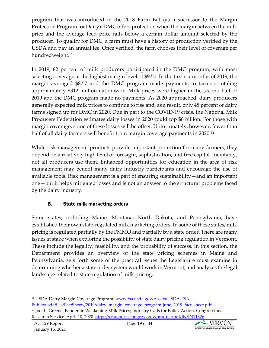program that was introduced in the 2018 Farm Bill (as a successor to the Margin Protection Program for Dairy). DMC offers protection when the margin between the milk price and the average feed price falls below a certain dollar amount selected by the producer. To qualify for DMC, a farm must have a history of production verified by the USDA and pay an annual fee. Once verified, the farm chooses their level of coverage per hundredweight.<sup>[51](#page-18-0)</sup>

In 2019, 82 percent of milk producers participated in the DMC program, with most selecting coverage at the highest margin level of \$9.50. In the first six months of 2019, the margin averaged \$8.57 and the DMC program made payments to farmers totaling approximately \$312 million nationwide. Milk prices were higher in the second half of 2019 and the DMC program made no payments. As 2020 approached, dairy producers generally expected milk prices to continue to rise and, as a result, only 48 percent of dairy farms signed up for DMC in 2020. Due in part to the COVID-19 crisis, the National Milk Producers Federation estimates dairy losses in 2020 could top \$6 billion. For those with margin coverage, some of these losses will be offset. Unfortunately, however, fewer than half of all dairy farmers will benefit from margin coverage payments in 2020.<sup>[52](#page-18-1)</sup>

While risk management products provide important protection for many farmers, they depend on a relatively high level of foresight, sophistication, and free capital. Inevitably, not all producers use them. Enhanced opportunities for education in the area of risk management may benefit many dairy industry participants and encourage the use of available tools. Risk management is a part of ensuring sustainability—and an important one—but it helps mitigated losses and is not an answer to the structural problems faced by the dairy industry.

## B. State milk marketing orders

Some states, including Maine, Montana, North Dakota, and Pennsylvania, have established their own state-regulated milk marketing orders. In some of these states, milk pricing is regulated partially by the FMMO and partially by a state order. There are many issues at stake when exploring the possibility of state dairy pricing regulation in Vermont. These include the legality, feasibility, and the probability of success. In this section, the Department provides an overview of the state pricing schemes in Maine and Pennsylvania, sets forth some of the practical issues the Legislature must examine in determining whether a state order system would work in Vermont, and analyzes the legal landscape related to state regulation of milk pricing.



<span id="page-18-0"></span><sup>51</sup> USDA Dairy Margin Coverage Program. [www.fsa.usda.gov/Assets/USDA-FSA-](http://www.fsa.usda.gov/Assets/USDA-FSA-Public/usdafiles/FactSheets/2019/dairy_margin_coverage_program-june_2019_fact_sheet.pdf)

<span id="page-18-1"></span>[Public/usdafiles/FactSheets/2019/dairy\\_margin\\_coverage\\_program-june\\_2019\\_fact\\_sheet.pdf](http://www.fsa.usda.gov/Assets/USDA-FSA-Public/usdafiles/FactSheets/2019/dairy_margin_coverage_program-june_2019_fact_sheet.pdf) <sup>52</sup> Joel L. Greene. Pandemic Weakening Milk Prices; Industry Calls for Policy Action. Congressional Research Service. April 10, 2020.<https://crsreports.congress.gov/product/pdf/IN/IN11326>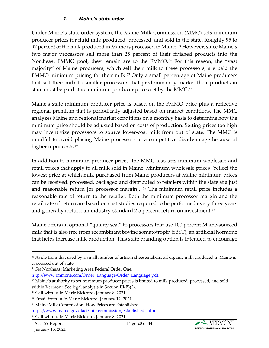#### *1. Maine's state order*

Under Maine's state order system, the Maine Milk Commission (MMC) sets minimum producer prices for fluid milk produced, processed, and sold in the state. Roughly 95 to 97 percent of the milk produced in Maine is processed in Maine.<sup>[53](#page-19-0)</sup> However, since Maine's two major processors sell more than 25 percent of their finished products into the Northeast FMMO pool, they remain are to the FMMO.<sup>[54](#page-19-1)</sup> For this reason, the "vast majority" of Maine producers, which sell their milk to these processors, are paid the FMMO minimum pricing for their milk.<sup>[55](#page-19-2)</sup> Only a small percentage of Maine producers that sell their milk to smaller processors that predominantly market their products in state must be paid state minimum producer prices set by the MMC.<sup>56</sup>

Maine's state minimum producer price is based on the FMMO price plus a reflective regional premium that is periodically adjusted based on market conditions. The MMC analyzes Maine and regional market conditions on a monthly basis to determine how the minimum price should be adjusted based on costs of production. Setting prices too high may incentivize processors to source lower-cost milk from out of state. The MMC is mindful to avoid placing Maine processors at a competitive disadvantage because of higher input costs.<sup>[57](#page-19-4)</sup>

In addition to minimum producer prices, the MMC also sets minimum wholesale and retail prices that apply to all milk sold in Maine. Minimum wholesale prices "reflect the lowest price at which milk purchased from Maine producers at Maine minimum prices can be received, processed, packaged and distributed to retailers within the state at a just and reasonable return [or processor margin]."[58](#page-19-5) The minimum retail price includes a reasonable rate of return to the retailer. Both the minimum processor margin and the retail rate of return are based on cost studies required to be performed every three years and generally include an industry-standard 2.5 percent return on investment.<sup>[59](#page-19-6)</sup>

Maine offers an optional "quality seal" to processors that use 100 percent Maine-sourced milk that is also free from recombinant bovine somatotropin (rBST), an artificial hormone that helps increase milk production. This state branding option is intended to encourage

[http://www.fmmone.com/Order\\_Language/Order\\_Language.pdf.](http://www.fmmone.com/Order_Language/Order_Language.pdf)



<span id="page-19-0"></span><sup>&</sup>lt;sup>53</sup> Aside from that used by a small number of artisan cheesemakers, all organic milk produced in Maine is processed out of state.

<span id="page-19-1"></span><sup>54</sup> *See* Northeast Marketing Area Federal Order One.

<span id="page-19-2"></span><sup>&</sup>lt;sup>55</sup> Maine's authority to set minimum producer prices is limited to milk produced, processed, and sold within Vermont. See legal analysis in Section III(B)(3).

<span id="page-19-3"></span><sup>56</sup> Call with Julie-Marie Bickford, January 8, 2021.

<span id="page-19-4"></span><sup>57</sup> Email from Julie-Marie Bickford, January 12, 2021.

<span id="page-19-5"></span><sup>58</sup> Maine Milk Commission. How Prices are Established.

[https://www.maine.gov/dacf/milkcommission/established.shtml.](https://www.maine.gov/dacf/milkcommission/established.shtml)

<span id="page-19-6"></span><sup>59</sup> Call with Julie-Marie Bickford, January 8, 2021.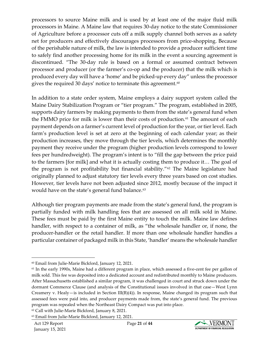processors to source Maine milk and is used by at least one of the major fluid milk processors in Maine. A Maine law that requires 30-day notice to the state Commissioner of Agriculture before a processor cuts off a milk supply channel both serves as a safety net for producers and effectively discourages processors from price-shopping. Because of the perishable nature of milk, the law is intended to provide a producer sufficient time to safely find another processing home for its milk in the event a sourcing agreement is discontinued. "The 30-day rule is based on a formal or assumed contract between processor and producer (or the farmer's co-op and the producer) that the milk which is produced every day will have a 'home' and be picked-up every day" unless the processor gives the required 30 days' notice to terminate this agreement. $^{60}$  $^{60}$  $^{60}$ 

In addition to a state order system, Maine employs a dairy support system called the Maine Dairy Stabilization Program or "tier program." The program, established in 2005, supports dairy farmers by making payments to them from the state's general fund when the FMMO price for milk is lower than their costs of production.<sup>[61](#page-20-1)</sup> The amount of each payment depends on a farmer's current level of production for the year, or tier level. Each farm's production level is set at zero at the beginning of each calendar year; as their production increases, they move through the tier levels, which determines the monthly payment they receive under the program (higher production levels correspond to lower fees per hundredweight). The program's intent is to "fill the gap between the price paid to the farmers [for milk] and what it is actually costing them to produce it… The goal of the program is not profitability but financial stability."[62](#page-20-2) The Maine legislature had originally planned to adjust statutory tier levels every three years based on cost studies. However, tier levels have not been adjusted since 2012, mostly because of the impact it would have on the state's general fund balance.<sup>[63](#page-20-3)</sup>

Although tier program payments are made from the state's general fund, the program is partially funded with milk handling fees that are assessed on all milk sold in Maine. These fees must be paid by the first Maine entity to touch the milk. Maine law defines handler, with respect to a container of milk, as "the wholesale handler or, if none, the producer-handler or the retail handler. If more than one wholesale handler handles a particular container of packaged milk in this State, 'handler' means the wholesale handler

<span id="page-20-2"></span><sup>62</sup> Call with Julie-Marie Bickford, January 8, 2021.



<span id="page-20-0"></span><sup>60</sup> Email from Julie-Marie Bickford, January 12, 2021.

<span id="page-20-1"></span><sup>&</sup>lt;sup>61</sup> In the early 1990s, Maine had a different program in place, which assessed a five-cent fee per gallon of milk sold. This fee was deposited into a dedicated account and redistributed monthly to Maine producers. After Massachusetts established a similar program, it was challenged in court and struck down under the dormant Commerce Clause (and analysis of the Constitutional issues involved in that case—West Lynn Creamery v. Healy—is included in Section  $III(B)(4)$ ). In response, Maine changed its program such that assessed fees were paid into, and producer payments made from, the state's general fund. The previous program was repealed when the Northeast Dairy Compact was put into place.

<span id="page-20-3"></span><sup>63</sup> Email from Julie-Marie Bickford, January 12, 2021.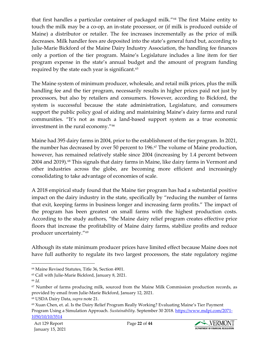that first handles a particular container of packaged milk."[64](#page-21-0) The first Maine entity to touch the milk may be a co-op, an in-state processor, or (if milk is produced outside of Maine) a distributor or retailer. The fee increases incrementally as the price of milk decreases. Milk handler fees are deposited into the state's general fund but, according to Julie-Marie Bickford of the Maine Dairy Industry Association, the handling fee finances only a portion of the tier program. Maine's Legislature includes a line item for tier program expense in the state's annual budget and the amount of program funding required by the state each year is significant.<sup>[65](#page-21-1)</sup>

The Maine system of minimum producer, wholesale, and retail milk prices, plus the milk handling fee and the tier program, necessarily results in higher prices paid not just by processors, but also by retailers and consumers. However, according to Bickford, the system is successful because the state administration, Legislature, and consumers support the public policy goal of aiding and maintaining Maine's dairy farms and rural communities. "It's not as much a land-based support system as a true economic investment in the rural economy."[66](#page-21-2)

Maine had 395 dairy farms in 2004, prior to the establishment of the tier program. In 2021, the number has decreased by over 50 percent to 196. [67](#page-21-3) The volume of Maine production, however, has remained relatively stable since 2004 (increasing by 1.4 percent between 2004 and 2019).<sup>[68](#page-21-4)</sup> This signals that dairy farms in Maine, like dairy farms in Vermont and other industries across the globe, are becoming more efficient and increasingly consolidating to take advantage of economies of scale.

A 2018 empirical study found that the Maine tier program has had a substantial positive impact on the dairy industry in the state, specifically by "reducing the number of farms that exit, keeping farms in business longer and increasing farm profits." The impact of the program has been greatest on small farms with the highest production costs. According to the study authors, "the Maine dairy relief program creates effective price floors that increase the profitability of Maine dairy farms, stabilize profits and reduce producer uncertainty.["69](#page-21-5)

Although its state minimum producer prices have limited effect because Maine does not have full authority to regulate its two largest processors, the state regulatory regime



<span id="page-21-0"></span><sup>64</sup> Maine Revised Statutes, Title 36, Section 4901.

<span id="page-21-1"></span><sup>65</sup> Call with Julie-Marie Bickford, January 8, 2021.

<span id="page-21-2"></span><sup>66</sup> *Id.*

<span id="page-21-3"></span> $67$  Number of farms producing milk, sourced from the Maine Milk Commission production records, as provided by email from Julie-Marie Bickford, January 12, 2021.

<span id="page-21-4"></span><sup>68</sup> USDA Dairy Data, *supra* note 21.

<span id="page-21-5"></span><sup>69</sup> Xuan Chen, et. al. Is the Dairy Relief Program Really Working? Evaluating Maine's Tier Payment Program Using a Simulation Approach. *Sustainability*. September 30 2018. [https://www.mdpi.com/2071-](https://www.mdpi.com/2071-1050/10/10/3514) [1050/10/10/3514](https://www.mdpi.com/2071-1050/10/10/3514)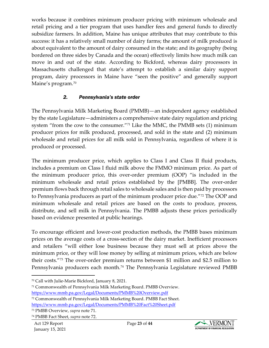works because it combines minimum producer pricing with minimum wholesale and retail pricing and a tier program that uses handler fees and general funds to directly subsidize farmers. In addition, Maine has unique attributes that may contribute to this success: it has a relatively small number of dairy farms; the amount of milk produced is about equivalent to the amount of dairy consumed in the state; and its geography (being bordered on three sides by Canada and the ocean) effectively limits how much milk can move in and out of the state. According to Bickford, whereas dairy processors in Massachusetts challenged that state's attempt to establish a similar dairy support program, dairy processors in Maine have "seen the positive" and generally support Maine's program.<sup>[70](#page-22-0)</sup>

#### *2. Pennsylvania's state order*

The Pennsylvania Milk Marketing Board (PMMB)—an independent agency established by the state Legislature—administers a comprehensive state dairy regulation and pricing system "from the cow to the consumer."[71](#page-22-1) Like the MMC, the PMMB sets (1) minimum producer prices for milk produced, processed, and sold in the state and (2) minimum wholesale and retail prices for all milk sold in Pennsylvania, regardless of where it is produced or processed.

The minimum producer price, which applies to Class I and Class II fluid products, includes a premium on Class I fluid milk above the FMMO minimum price. As part of the minimum producer price, this over-order premium (OOP) "is included in the minimum wholesale and retail prices established by the [PMBB]. The over-order premium flows back through retail sales to wholesale sales and is then paid by processors to Pennsylvania producers as part of the minimum producer price due."[72](#page-22-2) The OOP and minimum wholesale and retail prices are based on the costs to produce, process, distribute, and sell milk in Pennsylvania. The PMBB adjusts these prices periodically based on evidence presented at public hearings.

To encourage efficient and lower-cost production methods, the PMBB bases minimum prices on the average costs of a cross-section of the dairy market. Inefficient processors and retailers "will either lose business because they must sell at prices above the minimum price, or they will lose money by selling at minimum prices, which are below their costs."[73](#page-22-3) The over-order premium returns between \$1 million and \$2.5 million to Pennsylvania producers each month.<sup>[74](#page-22-4)</sup> The Pennsylvania Legislature reviewed PMBB



<span id="page-22-0"></span><sup>70</sup> Call with Julie-Marie Bickford, January 8, 2021.

<span id="page-22-1"></span><sup>71</sup> Commonwealth of Pennsylvania Milk Marketing Board. PMBB Overview. <https://www.mmb.pa.gov/Legal/Documents/PMMB%20Overview.pdf>

<span id="page-22-2"></span><sup>72</sup> Commonwealth of Pennsylvania Milk Marketing Board. PMBB Fact Sheet.

<https://www.mmb.pa.gov/Legal/Documents/PMMB%20Fact%20Sheet.pdf>

<span id="page-22-3"></span><sup>73</sup> PMBB Overview, *supra* note 71.

<span id="page-22-4"></span><sup>74</sup> PMBB Fact Sheet, *supra* note 72.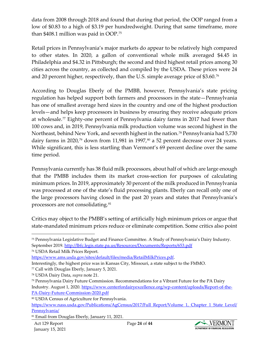data from 2008 through 2018 and found that during that period, the OOP ranged from a low of \$0.83 to a high of \$3.19 per hundredweight. During that same timeframe, more than \$408.1 million was paid in OOP.[75](#page-23-0)

Retail prices in Pennsylvania's major markets do appear to be relatively high compared to other states. In 2020, a gallon of conventional whole milk averaged \$4.45 in Philadelphia and \$4.32 in Pittsburgh; the second and third highest retail prices among 30 cities across the country, as collected and compiled by the USDA. These prices were 24 and 20 percent higher, respectively, than the U.S. simple average price of \$3.60.[76](#page-23-1)

According to Douglas Eberly of the PMBB, however, Pennsylvania's state pricing regulation has helped support both farmers and processors in the state—Pennsylvania has one of smallest average herd sizes in the country and one of the highest production levels—and helps keep processors in business by ensuring they receive adequate prices at wholesale.[77](#page-23-2) Eighty-one percent of Pennsylvania dairy farms in 2017 had fewer than 100 cows and, in 2019, Pennsylvania milk production volume was second highest in the Northeast, behind New York, and seventh highest in the nation.<sup>[78](#page-23-3)</sup> Pennsylvania had 5,730 dairy farms in 2020,<sup>[79](#page-23-4)</sup> down from 11,981 in 1997,<sup>[80](#page-23-5)</sup> a 52 percent decrease over 24 years. While significant, this is less startling than Vermont's 69 percent decline over the same time period.

Pennsylvania currently has 38 fluid milk processors, about half of which are large enough that the PMBB includes them its market cross-section for purposes of calculating minimum prices. In 2019, approximately 30 percent of the milk produced in Pennsylvania was processed at one of the state's fluid processing plants. Eberly can recall only one of the large processors having closed in the past 20 years and states that Pennsylvania's processors are not consolidating[.81](#page-23-6)

Critics may object to the PMBB's setting of artificially high minimum prices or argue that state-mandated minimum prices reduce or eliminate competition. Some critics also point

<span id="page-23-1"></span><sup>76</sup> USDA Retail Milk Prices Report.



<span id="page-23-0"></span><sup>75</sup> Pennsylvania Legislative Budget and Finance Committee. A Study of Pennsylvania's Dairy Industry. September 2019[. http://lbfc.legis.state.pa.us/Resources/Documents/Reports/653.pdf](http://lbfc.legis.state.pa.us/Resources/Documents/Reports/653.pdf)

[https://www.ams.usda.gov/sites/default/files/media/RetailMilkPrices.pdf.](https://www.ams.usda.gov/sites/default/files/media/RetailMilkPrices.pdf)

Interestingly, the highest price was in Kansas City, Missouri, a state subject to the FMMO.

<span id="page-23-2"></span><sup>77</sup> Call with Douglas Eberly, January 5, 2021.

<span id="page-23-3"></span><sup>78</sup> USDA Dairy Data, *supra* note 21.

<span id="page-23-4"></span><sup>79</sup> Pennsylvania Dairy Future Commission. Recommendations for a Vibrant Future for the PA Dairy Industry. August 1, 2020[. https://www.centerfordairyexcellence.org/wp-content/uploads/Report-of-the-](https://www.centerfordairyexcellence.org/wp-content/uploads/Report-of-the-PA-Dairy-Future-Commission-2020.pdf)[PA-Dairy-Future-Commission-2020.pdf](https://www.centerfordairyexcellence.org/wp-content/uploads/Report-of-the-PA-Dairy-Future-Commission-2020.pdf)

<span id="page-23-5"></span><sup>80</sup> USDA Census of Agriculture for Pennsylvania.

[https://www.nass.usda.gov/Publications/AgCensus/2017/Full\\_Report/Volume\\_1,\\_Chapter\\_1\\_State\\_Level/](https://www.nass.usda.gov/Publications/AgCensus/2017/Full_Report/Volume_1,_Chapter_1_State_Level/Pennsylvania/) [Pennsylvania/](https://www.nass.usda.gov/Publications/AgCensus/2017/Full_Report/Volume_1,_Chapter_1_State_Level/Pennsylvania/)

<span id="page-23-6"></span><sup>81</sup> Email from Douglas Eberly, January 11, 2021.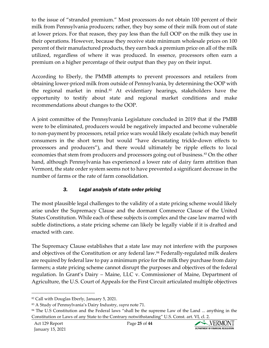to the issue of "stranded premium." Most processors do not obtain 100 percent of their milk from Pennsylvania producers; rather, they buy some of their milk from out of state at lower prices. For that reason, they pay less than the full OOP on the milk they use in their operations. However, because they receive state minimum wholesale prices on 100 percent of their manufactured products, they earn back a premium price on all of the milk utilized, regardless of where it was produced. In essence, processors often earn a premium on a higher percentage of their output than they pay on their input.

According to Eberly, the PMMB attempts to prevent processors and retailers from obtaining lower-priced milk from outside of Pennsylvania, by determining the OOP with the regional market in mind.<sup>[82](#page-24-0)</sup> At evidentiary hearings, stakeholders have the opportunity to testify about state and regional market conditions and make recommendations about changes to the OOP.

A joint committee of the Pennsylvania Legislature concluded in 2019 that if the PMBB were to be eliminated, producers would be negatively impacted and become vulnerable to non-payment by processors, retail price wars would likely escalate (which may benefit consumers in the short term but would "have devastating trickle-down effects to processors and producers"), and there would ultimately be ripple effects to local economies that stem from producers and processors going out of business.<sup>[83](#page-24-1)</sup> On the other hand, although Pennsylvania has experienced a lower rate of dairy farm attrition than Vermont, the state order system seems not to have prevented a significant decrease in the number of farms or the rate of farm consolidation.

## *3. Legal analysis of state order pricing*

The most plausible legal challenges to the validity of a state pricing scheme would likely arise under the Supremacy Clause and the dormant Commerce Clause of the United States Constitution. While each of these subjects is complex and the case law marred with subtle distinctions, a state pricing scheme can likely be legally viable if it is drafted and enacted with care.

The Supremacy Clause establishes that a state law may not interfere with the purposes and objectives of the Constitution or any federal law.<sup>[84](#page-24-2)</sup> Federally-regulated milk dealers are required by federal law to pay a minimum price for the milk they purchase from dairy farmers; a state pricing scheme cannot disrupt the purposes and objectives of the federal regulation. In Grant's Dairy – Maine, LLC v. Commissioner of Maine, Department of Agriculture, the U.S. Court of Appeals for the First Circuit articulated multiple objectives



<span id="page-24-0"></span><sup>82</sup> Call with Douglas Eberly, January 5, 2021.

<span id="page-24-1"></span><sup>83</sup> A Study of Pennsylvania's Dairy Industry, *supra* note 71.

<span id="page-24-2"></span><sup>&</sup>lt;sup>84</sup> The U.S Constitution and the Federal laws "shall be the supreme Law of the Land ... anything in the Constitution or Laws of any State to the Contrary notwithstanding" [U.S. Const. art. VI, cl. 2.](http://www.westlaw.com/Link/Document/FullText?findType=L&pubNum=1000583&cite=USCOARTVICL2&originatingDoc=I5d088ace799111d9bf29e2067ad74e5b&refType=LQ&originationContext=document&vr=3.0&rs=cblt1.0&transitionType=DocumentItem&contextData=(sc.DocLink))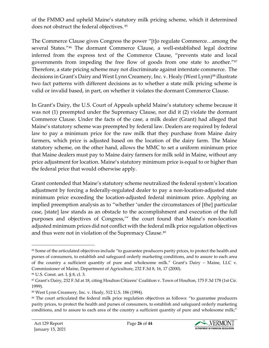of the FMMO and upheld Maine's statutory milk pricing scheme, which it determined does not obstruct the federal objectives. 85

The Commerce Clause gives Congress the power "[t]o regulate Commerce…among the several States."<sup>86</sup> The dormant Commerce Clause, a well-established legal doctrine inferred from the express text of the Commerce Clause, "prevents state and local governments from impeding the free flow of goods from one state to another."[87](#page-25-2) Therefore, a state pricing scheme may not discriminate against interstate commerce. The decisions in Grant's Dairy and West Lynn Creamery, Inc. v. Healy (West Lynn)<sup>[88](#page-25-3)</sup> illustrate two fact patterns with different decisions as to whether a state milk pricing scheme is valid or invalid based, in part, on whether it violates the dormant Commerce Clause.

In Grant's Dairy, the U.S. Court of Appeals upheld Maine's statutory scheme because it was not (1) preempted under the Supremacy Clause, nor did it (2) violate the dormant Commerce Clause. Under the facts of the case, a milk dealer (Grant) had alleged that Maine's statutory scheme was preempted by federal law. Dealers are required by federal law to pay a minimum price for the raw milk that they purchase from Maine dairy farmers, which price is adjusted based on the location of the dairy farm. The Maine statutory scheme, on the other hand, allows the MMC to set a uniform minimum price that Maine dealers must pay to Maine dairy farmers for milk sold in Maine, without any price adjustment for location. Maine's statutory minimum price is equal to or higher than the federal price that would otherwise apply.

Grant contended that Maine's statutory scheme neutralized the federal system's location adjustment by forcing a federally-regulated dealer to pay a non-location-adjusted state minimum price exceeding the location-adjusted federal minimum price. Applying an implied preemption analysis as to "whether 'under the circumstances of [the] particular case, [state] law stands as an obstacle to the accomplishment and execution of the full purposes and objectives of Congress,'" the court found that Maine's non-location adjusted minimum prices did not conflict with the federal milk price regulation objectives and thus were not in violation of the Supremacy Clause.<sup>89</sup>



<span id="page-25-0"></span><sup>85</sup> Some of the articulated objectives include "to guarantee producers parity prices, to protect the health and purses of consumers, to establish and safeguard orderly marketing conditions, and to assure to each area of the country a sufficient quantity of pure and wholesome milk." Grant's Dairy – Maine, LLC v. Commissioner of Maine, Department of Agriculture, 232 F.3d 8, 16, 17 (2000).

<span id="page-25-1"></span><sup>86</sup> [U.S. Const. art. I, § 8, cl. 3.](http://www.westlaw.com/Link/Document/FullText?findType=L&pubNum=1000583&cite=USCOARTIS8CL3&originatingDoc=I5d088ace799111d9bf29e2067ad74e5b&refType=LQ&originationContext=document&vr=3.0&rs=cblt1.0&transitionType=DocumentItem&contextData=(sc.DocLink))

<span id="page-25-2"></span><sup>87</sup> Grant's Dairy, 232 F.3d at 18, citin[g Houlton Citizens' Coalition v. Town of Houlton,](http://www.westlaw.com/Link/Document/FullText?findType=Y&serNum=1999105157&pubNum=0000506&originatingDoc=I5d088ace799111d9bf29e2067ad74e5b&refType=RP&fi=co_pp_sp_506_184&originationContext=document&vr=3.0&rs=cblt1.0&transitionType=DocumentItem&contextData=(sc.DocLink)#co_pp_sp_506_184) 175 F.3d 178 (1st Cir. [1999\).](http://www.westlaw.com/Link/Document/FullText?findType=Y&serNum=1999105157&pubNum=0000506&originatingDoc=I5d088ace799111d9bf29e2067ad74e5b&refType=RP&fi=co_pp_sp_506_184&originationContext=document&vr=3.0&rs=cblt1.0&transitionType=DocumentItem&contextData=(sc.DocLink)#co_pp_sp_506_184)

<span id="page-25-3"></span><sup>88</sup> West Lynn Creamery, Inc. v. Healy, 512 U.S. 186 (1994).

<span id="page-25-4"></span><sup>89</sup> The court articulated the federal milk price regulation objectives as follows: "to guarantee producers parity prices, to protect the health and purses of consumers, to establish and safeguard orderly marketing conditions, and to assure to each area of the country a sufficient quantity of pure and wholesome milk;"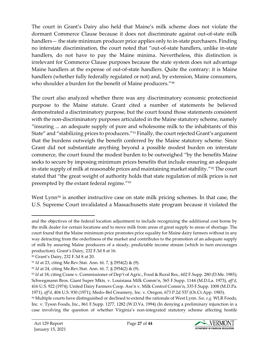The court in Grant's Dairy also held that Maine's milk scheme does not violate the dormant Commerce Clause because it does not discriminate against out-of-state milk handlers— the state minimum producer price applies only to in-state purchasers. Finding no interstate discrimination, the court noted that "out-of-state handlers, unlike in-state handlers, do not have to pay the Maine minima. Nevertheless, this distinction is irrelevant for Commerce Clause purposes because the state system does not advantage Maine handlers at the expense of out-of-state handlers. Quite the contrary: it is Maine handlers (whether fully federally regulated or not) and, by extension, Maine consumers, who shoulder a burden for the benefit of Maine producers."<sup>[90](#page-26-0)</sup>

The court also analyzed whether there was any discriminatory economic protectionist purpose to the Maine statute. Grant cited a number of statements he believed demonstrated a discriminatory purpose, but the court found those statements consistent with the non-discriminatory purposes articulated in the Maine statutory scheme, namely "insuring ... an adequate supply of pure and wholesome milk to the inhabitants of this State" and "stabilizing prices to producers."<sup>[91](#page-26-1)</sup> Finally, the court rejected Grant's argument that the burdens outweigh the benefit conferred by the Maine statutory scheme. Since Grant did not substantiate anything beyond a possible modest burden on interstate commerce, the court found the modest burden to be outweighed "by the benefits Maine seeks to secure by imposing minimum prices benefits that include ensuring an adequate in-state supply of milk at reasonable prices and maintaining market stability."[92](#page-26-2) The court stated that "the great weight of authority holds that state regulation of milk prices is not preempted by the extant federal regime.["93](#page-26-3)

West Lynn<sup>[94](#page-26-4)</sup> is another instructive case on state milk pricing schemes. In that case, the U.S. Supreme Court invalidated a Massachusetts state program because it violated the



and the objectives of the federal location adjustment to include recognizing the additional cost borne by the milk dealer for certain locations and to move milk from areas of great supply to areas of shortage. The court found that the Maine minimum price promotes price equality for Maine dairy farmers without in any way detracting from the orderliness of the market and contributes to the promotion of an adequate supply of milk by assuring Maine producers of a steady, predictable income stream (which in turn encourages production). Grant's Dairy, 232 F.3d 8 at 16.

<span id="page-26-0"></span><sup>90</sup> Grant's Dairy, 232 F.3d 8 at 20.

<span id="page-26-1"></span><sup>91</sup> *Id* at 23, citing [Me.Rev.Stat. Ann. tit. 7, § 2954\(2\) & \(9\).](http://www.westlaw.com/Link/Document/FullText?findType=L&pubNum=1000265&cite=MESTT7S2954&originatingDoc=I5d088ace799111d9bf29e2067ad74e5b&refType=LQ&originationContext=document&vr=3.0&rs=cblt1.0&transitionType=DocumentItem&contextData=(sc.DocLink))

<span id="page-26-2"></span><sup>92</sup> *Id* at 24, citing [Me.Rev.Stat. Ann. tit. 7, § 2954\(2\) & \(9\).](http://www.westlaw.com/Link/Document/FullText?findType=L&pubNum=1000265&cite=MESTT7S2954&originatingDoc=I5d088ace799111d9bf29e2067ad74e5b&refType=LQ&originationContext=document&vr=3.0&rs=cblt1.0&transitionType=DocumentItem&contextData=(sc.DocLink))

<span id="page-26-3"></span><sup>93</sup> *Id* at 18; citing [Crane v. Commissioner of Dep't of Agric., Food & Rural Res.,](http://www.westlaw.com/Link/Document/FullText?findType=Y&serNum=1985107178&pubNum=0000345&originatingDoc=I5d088ace799111d9bf29e2067ad74e5b&refType=RP&fi=co_pp_sp_345_293&originationContext=document&vr=3.0&rs=cblt1.0&transitionType=DocumentItem&contextData=(sc.DocLink)#co_pp_sp_345_293) 602 F.Supp. 280 (D.Me. 1985); [Schwegmann Bros. Giant Super Mkts. v. Louisiana Milk Comm'n,](http://www.westlaw.com/Link/Document/FullText?findType=Y&serNum=1973106916&pubNum=0000345&originatingDoc=I5d088ace799111d9bf29e2067ad74e5b&refType=RP&fi=co_pp_sp_345_1156&originationContext=document&vr=3.0&rs=cblt1.0&transitionType=DocumentItem&contextData=(sc.DocLink)#co_pp_sp_345_1156) 365 F.Supp. 1144 (M.D.La. 1973), *aff'd*, [416 U.S. 922 \(1974\);](http://www.westlaw.com/Link/Document/FullText?findType=Y&serNum=1974249004&pubNum=0000708&originatingDoc=I5d088ace799111d9bf29e2067ad74e5b&refType=RP&originationContext=document&vr=3.0&rs=cblt1.0&transitionType=DocumentItem&contextData=(sc.DocLink)) [United Dairy Farmers Coop. Ass'n v. Milk Control Comm'n,](http://www.westlaw.com/Link/Document/FullText?findType=Y&serNum=1971107605&pubNum=0000345&originatingDoc=I5d088ace799111d9bf29e2067ad74e5b&refType=RP&fi=co_pp_sp_345_1014&originationContext=document&vr=3.0&rs=cblt1.0&transitionType=DocumentItem&contextData=(sc.DocLink)#co_pp_sp_345_1014) 335 F.Supp. 1008 (M.D.Pa. [1971\),](http://www.westlaw.com/Link/Document/FullText?findType=Y&serNum=1971107605&pubNum=0000345&originatingDoc=I5d088ace799111d9bf29e2067ad74e5b&refType=RP&fi=co_pp_sp_345_1014&originationContext=document&vr=3.0&rs=cblt1.0&transitionType=DocumentItem&contextData=(sc.DocLink)#co_pp_sp_345_1014) *aff'd*, [404 U.S. 930 \(1971\);](http://www.westlaw.com/Link/Document/FullText?findType=Y&serNum=1971201173&pubNum=0000708&originatingDoc=I5d088ace799111d9bf29e2067ad74e5b&refType=RP&originationContext=document&vr=3.0&rs=cblt1.0&transitionType=DocumentItem&contextData=(sc.DocLink)) [Medo–Bel Creamery, Inc. v. Oregon,](http://www.westlaw.com/Link/Document/FullText?findType=Y&serNum=1983153223&pubNum=0000661&originatingDoc=I5d088ace799111d9bf29e2067ad74e5b&refType=RP&fi=co_pp_sp_661_544&originationContext=document&vr=3.0&rs=cblt1.0&transitionType=DocumentItem&contextData=(sc.DocLink)#co_pp_sp_661_544) 673 P.2d 537 (Or.Ct.App. 1983).

<span id="page-26-4"></span><sup>94</sup> Multiple courts have distinguished or declined to extend the rationale of West Lynn. *See, e.g.* WLR Foods, Inc. v. Tyson Foods, Inc., 861 F.Supp. 1277, 1282 (W.D.Va. 1994) (In denying a preliminary injunction in a case involving the question of whether Virginia's non-integrated statutory scheme affecting hostile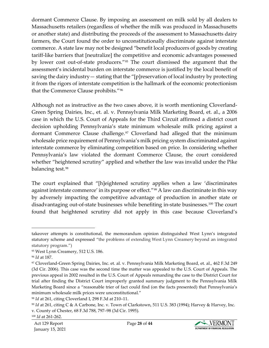dormant Commerce Clause. By imposing an assessment on milk sold by all dealers to Massachusetts retailers (regardless of whether the milk was produced in Massachusetts or another state) and distributing the proceeds of the assessment to Massachusetts dairy farmers, the Court found the order to unconstitutionally discriminate against interstate commerce. A state law may not be designed "benefit local producers of goods by creating tariff-like barriers that [neutralize] the competitive and economic advantages possessed by lower cost out-of-state producers."[95](#page-27-0) The court dismissed the argument that the assessment's incidental burden on interstate commerce is justified by the local benefit of saving the dairy industry— stating that the "[p]reservation of local industry by protecting it from the rigors of interstate competition is the hallmark of the economic protectionism that the Commerce Clause prohibits."[96](#page-27-1)

Although not as instructive as the two cases above, it is worth mentioning Cloverland-Green Spring Dairies, Inc., et. al. v. Pennsylvania Milk Marketing Board, et. al., a 2006 case in which the U.S. Court of Appeals for the Third Circuit affirmed a district court decision upholding Pennsylvania's state minimum wholesale milk pricing against a dormant Commerce Clause challenge.<sup>[97](#page-27-2)</sup> Cloverland had alleged that the minimum wholesale price requirement of Pennsylvania's milk pricing system discriminated against interstate commerce by eliminating competition based on price. In considering whether Pennsylvania's law violated the dormant Commerce Clause, the court considered whether "heightened scrutiny" applied and whether the law was invalid under the Pike balancing test.[98](#page-27-3) 

The court explained that "[h]eightened scrutiny applies when a law 'discriminates against interstate commerce' in its purpose or effect."<sup>[99](#page-27-4)</sup> A law can discriminate in this way by adversely impacting the competitive advantage of production in another state or disadvantaging out-of-state businesses while benefiting in-state businesses.<sup>[100](#page-27-5)</sup> The court found that heightened scrutiny did not apply in this case because Cloverland's



takeover attempts is constitutional, the memorandum opinion distinguished West Lynn's integrated statutory scheme and expressed **"**the problems of extending West Lynn Creamery beyond an integrated statutory program.")

<span id="page-27-0"></span><sup>95</sup> West Lynn Creamery, 512 U.S. 186.

<span id="page-27-1"></span><sup>96</sup> *Id* at 187.

<span id="page-27-2"></span><sup>97</sup> Cloverland-Green Spring Dairies, Inc. et. al. v. Pennsylvania Milk Marketing Board, et. al., 462 F.3d 249 (3d Cir. 2006). This case was the second time the matter was appealed to the U.S. Court of Appeals. The previous appeal in 2002 resulted in the U.S. Court of Appeals remanding the case to the District Court for trial after finding the District Court improperly granted summary judgment to the Pennsylvania Milk Marketing Board since a "reasonable trier of fact could find (on the facts presented) that Pennsylvania's minimum wholesale milk prices were unconstitutional."

<span id="page-27-3"></span><sup>98</sup> *Id* at 261, citing Cloverland I, [298 F.3d at 210–11.](http://www.westlaw.com/Link/Document/FullText?findType=Y&serNum=2002464450&pubNum=506&originatingDoc=I1895e4a639fc11dbbb4d83d7c3c3a165&refType=RP&fi=co_pp_sp_506_210&originationContext=document&vr=3.0&rs=cblt1.0&transitionType=DocumentItem&contextData=(sc.UserEnteredCitation)#co_pp_sp_506_210)

<span id="page-27-5"></span><span id="page-27-4"></span><sup>99</sup> *Id* at 261, citing [C & A Carbone, Inc. v. Town of Clarkstown, 511 U.S. 383 \(1994\);](http://www.westlaw.com/Link/Document/FullText?findType=Y&serNum=1994108354&pubNum=708&originatingDoc=I1895e4a639fc11dbbb4d83d7c3c3a165&refType=RP&originationContext=document&vr=3.0&rs=cblt1.0&transitionType=DocumentItem&contextData=(sc.UserEnteredCitation)) [Harvey & Harvey, Inc.](http://www.westlaw.com/Link/Document/FullText?findType=Y&serNum=1995210794&pubNum=506&originatingDoc=I1895e4a639fc11dbbb4d83d7c3c3a165&refType=RP&fi=co_pp_sp_506_797&originationContext=document&vr=3.0&rs=cblt1.0&transitionType=DocumentItem&contextData=(sc.UserEnteredCitation)#co_pp_sp_506_797)  [v. County of Chester, 68 F.3d 788, 797–98 \(3d Cir. 1995\).](http://www.westlaw.com/Link/Document/FullText?findType=Y&serNum=1995210794&pubNum=506&originatingDoc=I1895e4a639fc11dbbb4d83d7c3c3a165&refType=RP&fi=co_pp_sp_506_797&originationContext=document&vr=3.0&rs=cblt1.0&transitionType=DocumentItem&contextData=(sc.UserEnteredCitation)#co_pp_sp_506_797)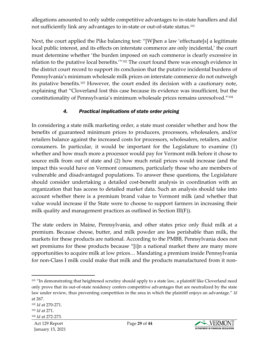allegations amounted to only subtle competitive advantages to in-state handlers and did not sufficiently link any advantages to in-state or out-of-state status.[101](#page-28-0)

Next, the court applied the Pike balancing test: "[W]hen a law 'effectuate[s] a legitimate local public interest, and its effects on interstate commerce are only incidental,' the court must determine whether 'the burden imposed on such commerce is clearly excessive in relation to the putative local benefits.'"<sup>[102](#page-28-1)</sup> The court found there was enough evidence in the district court record to support its conclusion that the putative incidental burdens of Pennsylvania's minimum wholesale milk prices on interstate commerce do not outweigh its putative benefits.<sup>[103](#page-28-2)</sup> However, the court ended its decision with a cautionary note, explaining that "Cloverland lost this case because its evidence was insufficient, but the constitutionality of Pennsylvania's minimum wholesale prices remains unresolved."[104](#page-28-3)

#### *4. Practical implications of state order pricing*

In considering a state milk marketing order, a state must consider whether and how the benefits of guaranteed minimum prices to producers, processors, wholesalers, and/or retailers balance against the increased costs for processors, wholesalers, retailers, and/or consumers. In particular, it would be important for the Legislature to examine (1) whether and how much more a processor would pay for Vermont milk before it chose to source milk from out of state and (2) how much retail prices would increase (and the impact this would have on Vermont consumers, particularly those who are members of vulnerable and disadvantaged populations. To answer these questions, the Legislature should consider undertaking a detailed cost-benefit analysis in coordination with an organization that has access to detailed market data. Such an analysis should take into account whether there is a premium brand value to Vermont milk (and whether that value would increase if the State were to choose to support farmers in increasing their milk quality and management practices as outlined in Section III(F)).

The state orders in Maine, Pennsylvania, and other states price only fluid milk at a premium. Because cheese, butter, and milk powder are less perishable than milk, the markets for these products are national. According to the PMBB, Pennsylvania does not set premiums for these products because "[i]n a national market there are many more opportunities to acquire milk at low prices… Mandating a premium inside Pennsylvania for non-Class I milk could make that milk and the products manufactured from it non-



<span id="page-28-0"></span><sup>&</sup>lt;sup>101</sup> "In demonstrating that heightened scrutiny should apply to a state law, a plaintiff like Cloverland need only prove that its out-of-state residency confers competitive advantages that are neutralized by the state law under review, thus preventing competition in the area in which the plaintiff enjoys an advantage." *Id* at 267.

<span id="page-28-2"></span><span id="page-28-1"></span><sup>102</sup> *Id* at 270-271. <sup>103</sup> *Id* at 271.

<span id="page-28-3"></span><sup>104</sup> *Id* at 272-273.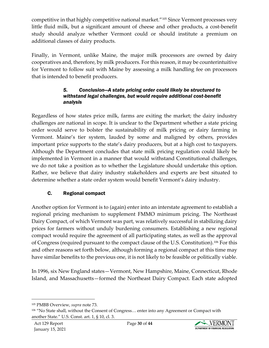competitive in that highly competitive national market.["105](#page-29-0) Since Vermont processes very little fluid milk, but a significant amount of cheese and other products, a cost-benefit study should analyze whether Vermont could or should institute a premium on additional classes of dairy products.

Finally, in Vermont, unlike Maine, the major milk processors are owned by dairy cooperatives and, therefore, by milk producers. For this reason, it may be counterintuitive for Vermont to follow suit with Maine by assessing a milk handling fee on processors that is intended to benefit producers.

#### *5. Conclusion—A state pricing order could likely be structured to withstand legal challenges, but would require additional cost-benefit analysis*

Regardless of how states price milk, farms are exiting the market; the dairy industry challenges are national in scope. It is unclear to the Department whether a state pricing order would serve to bolster the sustainability of milk pricing or dairy farming in Vermont. Maine's tier system, lauded by some and maligned by others, provides important price supports to the state's dairy producers, but at a high cost to taxpayers. Although the Department concludes that state milk pricing regulation could likely be implemented in Vermont in a manner that would withstand Constitutional challenges, we do not take a position as to whether the Legislature should undertake this option. Rather, we believe that dairy industry stakeholders and experts are best situated to determine whether a state order system would benefit Vermont's dairy industry.

## C. Regional compact

Another option for Vermont is to (again) enter into an interstate agreement to establish a regional pricing mechanism to supplement FMMO minimum pricing. The Northeast Dairy Compact, of which Vermont was part, was relatively successful in stabilizing dairy prices for farmers without unduly burdening consumers. Establishing a new regional compact would require the agreement of all participating states, as well as the approval of Congress (required pursuant to the compact clause of the U.S. Constitution).[106](#page-29-1) For this and other reasons set forth below, although forming a regional compact at this time may have similar benefits to the previous one, it is not likely to be feasible or politically viable.

In 1996, six New England states—Vermont, New Hampshire, Maine, Connecticut, Rhode Island, and Massachusetts—formed the Northeast Dairy Compact. Each state adopted



<span id="page-29-0"></span><sup>105</sup> PMBB Overview, *supra* note 73.

<span id="page-29-1"></span><sup>106</sup> "No State shall, without the Consent of Congress… enter into any Agreement or Compact with another State." U.S. Const. art. 1, § 10, cl. 3.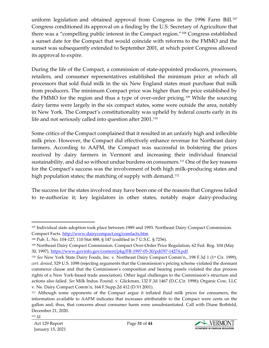uniform legislation and obtained approval from Congress in the 1996 Farm Bill.<sup>[107](#page-30-0)</sup> Congress conditioned its approval on a finding by the U.S. Secretary of Agriculture that there was a "compelling public interest in the Compact region."[108](#page-30-1) Congress established a sunset date for the Compact that would coincide with reforms to the FMMO and the sunset was subsequently extended to September 2001, at which point Congress allowed its approval to expire.

During the life of the Compact, a commission of state-appointed producers, processors, retailers, and consumer representatives established the minimum price at which all processors that sold fluid milk in the six New England states must purchase that milk from producers. The minimum Compact price was higher than the price established by the FMMO for the region and thus a type of over-order pricing.[109](#page-30-2) While the sourcing dairy farms were largely in the six compact states, some were outside the area, notably in New York. The Compact's constitutionality was upheld by federal courts early in its life and not seriously called into question after 2001.<sup>[110](#page-30-3)</sup>

Some critics of the Compact complained that it resulted in an unfairly high and inflexible milk price. However, the Compact did effectively enhance revenue for Northeast dairy farmers. According to AAFM, the Compact was successful in bolstering the prices received by dairy farmers in Vermont and increasing their individual financial sustainability, and did so without undue burdens on consumers.[111](#page-30-4) One of the key reasons for the Compact's success was the involvement of both high milk-producing states and high population states; the matching of supply with demand.<sup>[112](#page-30-5)</sup>

The success for the states involved may have been one of the reasons that Congress failed to re-authorize it; key legislators in other states, notably major dairy-producing



<span id="page-30-0"></span><sup>&</sup>lt;sup>107</sup> Individual state adoption took place between 1989 and 1993. Northeast Dairy Compact Commission. Compact Facts.<http://www.dairycompact.org/comfacts.htm>

<span id="page-30-1"></span><sup>108</sup> Pub. L. No. 104-127, 110 Stat 888, § 147 (codified in 7 U.S.C. § 7256).

<span id="page-30-2"></span><sup>109</sup> Northeast Dairy Compact Commission. Compact Over-Order Price Regulation, 62 Fed. Reg. 104 (May 30, 1997),<https://www.govinfo.gov/content/pkg/FR-1997-05-30/pdf/97-14274.pdf>

<span id="page-30-3"></span><sup>110</sup> *See* New York State Dairy Foods, Inc. v. Northeast Dairy Compact Comm'n., 198 F.3d 1 (1st Cir. 1999), *cert. denied*, 529 U.S. 1098 (rejecting arguments that the Commission's pricing scheme violated the dormant commerce clause and that the Commission's composition and hearing panels violated the due process rights of a New York-based trade association). Other legal challenges to the Commission's structure and actions also failed. *See* Milk Indus. Found. v. Glickman, 132 F.3d 1467 (D.C.Cir. 1998); Organic Cow, LLC v. Ne. Dairy Compact Comm'n, 164 F.Supp.2d 412 (D.Vt 2001).

<span id="page-30-5"></span><span id="page-30-4"></span><sup>111</sup> Although some opponents of the Compact argue it inflated fluid milk prices for consumers, the information available to AAFM indicates that increases attributable to the Compact were cents on the gallon and, thus, that concerns about consumer harm were unsubstantiated. Call with Diane Bothfeld, December 21, 2020.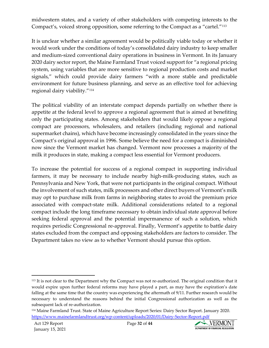midwestern states, and a variety of other stakeholders with competing interests to the Compact's, voiced strong opposition, some referring to the Compact as a "cartel."[113](#page-31-0)

It is unclear whether a similar agreement would be politically viable today or whether it would work under the conditions of today's consolidated dairy industry to keep smaller and medium-sized conventional dairy operations in business in Vermont. In its January 2020 dairy sector report, the Maine Farmland Trust voiced support for "a regional pricing system, using variables that are more sensitive to regional production costs and market signals," which could provide dairy farmers "with a more stable and predictable environment for future business planning, and serve as an effective tool for achieving regional dairy viability."[114](#page-31-1)

The political viability of an interstate compact depends partially on whether there is appetite at the federal level to approve a regional agreement that is aimed at benefiting only the participating states. Among stakeholders that would likely oppose a regional compact are processors, wholesalers, and retailers (including regional and national supermarket chains), which have become increasingly consolidated in the years since the Compact's original approval in 1996. Some believe the need for a compact is diminished now since the Vermont market has changed. Vermont now processes a majority of the milk it produces in state, making a compact less essential for Vermont producers.

To increase the potential for success of a regional compact in supporting individual farmers, it may be necessary to include nearby high-milk-producing states, such as Pennsylvania and New York, that were not participants in the original compact. Without the involvement of such states, milk processors and other direct buyers of Vermont's milk may opt to purchase milk from farms in neighboring states to avoid the premium price associated with compact-state milk. Additional considerations related to a regional compact include the long timeframe necessary to obtain individual state approval before seeking federal approval and the potential impermanence of such a solution, which requires periodic Congressional re-approval. Finally, Vermont's appetite to battle dairy states excluded from the compact and opposing stakeholders are factors to consider. The Department takes no view as to whether Vermont should pursue this option.



<span id="page-31-0"></span><sup>113</sup> It is not clear to the Department why the Compact was not re-authorized. The original condition that it would expire upon further federal reforms may have played a part, as may have the expiration's date falling at the same time that the country was experiencing the aftermath of 9/11. Further research would be necessary to understand the reasons behind the initial Congressional authorization as well as the subsequent lack of re-authorization.

<span id="page-31-1"></span><sup>114</sup> Maine Farmland Trust. State of Maine Agriculture Report Series: Dairy Sector Report. January 2020. <https://www.mainefarmlandtrust.org/wp-content/uploads/2020/01/Dairy-Sector-Report.pdf>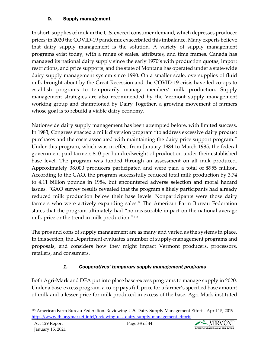#### D. Supply management

In short, supplies of milk in the U.S. exceed consumer demand, which depresses producer prices; in 2020 the COVID-19 pandemic exacerbated this imbalance. Many experts believe that dairy supply management is the solution. A variety of supply management programs exist today, with a range of scales, attributes, and time frames. Canada has managed its national dairy supply since the early 1970's with production quotas, import restrictions, and price supports; and the state of Montana has operated under a state-wide dairy supply management system since 1990. On a smaller scale, oversupplies of fluid milk brought about by the Great Recession and the COVID-19 crisis have led co-ops to establish programs to temporarily manage members' milk production. Supply management strategies are also recommended by the Vermont supply management working group and championed by Dairy Together, a growing movement of farmers whose goal is to rebuild a viable dairy economy.

Nationwide dairy supply management has been attempted before, with limited success. In 1983, Congress enacted a milk diversion program "to address excessive dairy product purchases and the costs associated with maintaining the dairy price support program." Under this program, which was in effect from January 1984 to March 1985, the federal government paid farmers \$10 per hundredweight of production under their established base level. The program was funded through an assessment on all milk produced. Approximately 38,000 producers participated and were paid a total of \$955 million. According to the GAO, the program successfully reduced total milk production by 3.74 to 4.11 billion pounds in 1984, but encountered adverse selection and moral hazard issues. "GAO survey results revealed that the program's likely participants had already reduced milk production below their base levels. Nonparticipants were those dairy farmers who were actively expanding sales." The American Farm Bureau Federation states that the program ultimately had "no measurable impact on the national average milk price or the trend in milk production."[115](#page-32-0)

The pros and cons of supply management are as many and varied as the systems in place. In this section, the Department evaluates a number of supply-management programs and proposals, and considers how they might impact Vermont producers, processors, retailers, and consumers.

## *1. Cooperatives' temporary supply management programs*

Both Agri-Mark and DFA put into place base-excess programs to manage supply in 2020. Under a base-excess program, a co-op pays full price for a farmer's specified base amount of milk and a lesser price for milk produced in excess of the base. Agri-Mark instituted



<span id="page-32-0"></span><sup>115</sup> American Farm Bureau Federation. Reviewing U.S. Dairy Supply Management Efforts. April 15, 2019. <https://www.fb.org/market-intel/reviewing-u.s.-dairy-supply-management-efforts>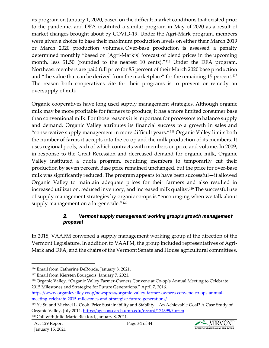its program on January 1, 2020, based on the difficult market conditions that existed prior to the pandemic, and DFA instituted a similar program in May of 2020 as a result of market changes brought about by COVID-19. Under the Agri-Mark program, members were given a choice to base their maximum production levels on either their March 2019 or March 2020 production volumes. Over-base production is assessed a penalty determined monthly "based on [Agri-Mark's] forecast of blend prices in the upcoming month, less \$1.50 (rounded to the nearest 10 cents)."[116](#page-33-0) Under the DFA program, Northeast members are paid full price for 85 percent of their March 2020 base production and "the value that can be derived from the marketplace" for the remaining 15 percent.<sup>[117](#page-33-1)</sup> The reason both cooperatives cite for their programs is to prevent or remedy an oversupply of milk.

Organic cooperatives have long used supply management strategies. Although organic milk may be more profitable for farmers to produce, it has a more limited consumer base than conventional milk. For those reasons it is important for processors to balance supply and demand. Organic Valley attributes its financial success to a growth in sales and "conservative supply management in more difficult years."[118](#page-33-2) Organic Valley limits both the number of farms it accepts into the co-op and the milk production of its members. It uses regional pools, each of which contracts with members on price and volume. In 2009, in response to the Great Recession and decreased demand for organic milk, Organic Valley instituted a quota program, requiring members to temporarily cut their production by seven percent. Base price remained unchanged, but the price for over-base milk was significantly reduced. The program appears to have been successful—it allowed Organic Valley to maintain adequate prices for their farmers and also resulted in increased utilization, reduced inventory, and increased milk quality.[119](#page-33-3) The successful use of supply management strategies by organic co-ops is "encouraging when we talk about supply management on a larger scale."<sup>[120](#page-33-4)</sup>

#### *2. Vermont supply management working group's growth management proposal*

In 2018, VAAFM convened a supply management working group at the direction of the Vermont Legislature. In addition to VAAFM, the group included representatives of Agri-Mark and DFA, and the chairs of the Vermont Senate and House agricultural committees.



<span id="page-33-0"></span><sup>116</sup> Email from Catherine DeRonde, January 8, 2021.

<span id="page-33-1"></span><sup>117</sup> Email from Kiersten Bourgeois, January 7, 2021.

<span id="page-33-2"></span><sup>118</sup> Organic Valley. "Organic Valley Farmer-Owners Convene at Co-op's Annual Meeting to Celebrate 2015 Milestones and Strategize for Future Generations." April 7, 2016.

[https://www.organicvalley.coop/newspress/organic-valley-farmer-owners-convene-co-ops-annual](https://www.organicvalley.coop/newspress/organic-valley-farmer-owners-convene-co-ops-annual-meeting-celebrate-2015-milestones-and-strategize-future-generations/)[meeting-celebrate-2015-milestones-and-strategize-future-generations/](https://www.organicvalley.coop/newspress/organic-valley-farmer-owners-convene-co-ops-annual-meeting-celebrate-2015-milestones-and-strategize-future-generations/)

<span id="page-33-4"></span><span id="page-33-3"></span><sup>119</sup> Ye Su and Michael L. Cook. Price Sustainability and Stability – An Achievable Goal? A Case Study of Organic Valley. July 2014.<https://ageconsearch.umn.edu/record/174399/?ln=en> <sup>120</sup> Call with Julie-Marie Bickford, January 8, 2021.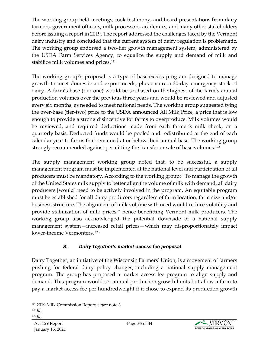The working group held meetings, took testimony, and heard presentations from dairy farmers, government officials, milk processors, academics, and many other stakeholders before issuing a report in 2019. The report addressed the challenges faced by the Vermont dairy industry and concluded that the current system of dairy regulation is problematic. The working group endorsed a two-tier growth management system, administered by the USDA Farm Services Agency, to equalize the supply and demand of milk and stabilize milk volumes and prices.<sup>[121](#page-34-0)</sup>

The working group's proposal is a type of base-excess program designed to manage growth to meet domestic and export needs, plus ensure a 30-day emergency stock of dairy. A farm's base (tier one) would be set based on the highest of the farm's annual production volumes over the previous three years and would be reviewed and adjusted every six months, as needed to meet national needs. The working group suggested tying the over-base (tier-two) price to the USDA announced All Milk Price, a price that is low enough to provide a strong disincentive for farms to overproduce. Milk volumes would be reviewed, and required deductions made from each farmer's milk check, on a quarterly basis. Deducted funds would be pooled and redistributed at the end of each calendar year to farms that remained at or below their annual base. The working group strongly recommended against permitting the transfer or sale of base volumes.<sup>[122](#page-34-1)</sup>

The supply management working group noted that, to be successful, a supply management program must be implemented at the national level and participation of all producers must be mandatory. According to the working group: "To manage the growth of the United States milk supply to better align the volume of milk with demand, all dairy producers [would] need to be actively involved in the program. An equitable program must be established for all dairy producers regardless of farm location, farm size and/or business structure. The alignment of milk volume with need would reduce volatility and provide stabilization of milk prices," hence benefitting Vermont milk producers. The working group also acknowledged the potential downside of a national supply management system—increased retail prices—which may disproportionately impact lower-income Vermonters.<sup>[123](#page-34-2)</sup>

## *3. Dairy Together's market access fee proposal*

Dairy Together, an initiative of the Wisconsin Farmers' Union, is a movement of farmers pushing for federal dairy policy changes, including a national supply management program. The group has proposed a market access fee program to align supply and demand. This program would set annual production growth limits but allow a farm to pay a market access fee per hundredweight if it chose to expand its production growth



<span id="page-34-0"></span><sup>121</sup> 2019 Milk Commission Report, *supra* note 3.

<span id="page-34-2"></span><span id="page-34-1"></span><sup>122</sup> *Id.*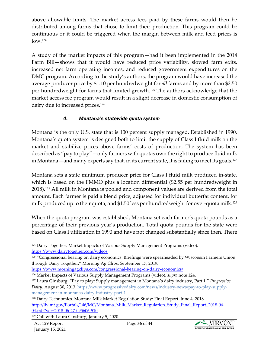above allowable limits. The market access fees paid by these farms would then be distributed among farms that chose to limit their production. This program could be continuous or it could be triggered when the margin between milk and feed prices is low.[124](#page-35-0)

A study of the market impacts of this program—had it been implemented in the 2014 Farm Bill—shows that it would have reduced price variability, slowed farm exits, increased net farm operating incomes, and reduced government expenditures on the DMC program. According to the study's authors, the program would have increased the average producer price by \$1.10 per hundredweight for *all* farms and by more than \$2.50 per hundredweight for farms that limited growth.[125](#page-35-1) The authors acknowledge that the market access fee program would result in a slight decrease in domestic consumption of dairy due to increased prices.<sup>[126](#page-35-2)</sup>

## *4. Montana's statewide quota system*

Montana is the only U.S. state that is 100 percent supply managed. Established in 1990, Montana's quota system is designed both to limit the supply of Class I fluid milk on the market and stabilize prices above farms' costs of production. The system has been described as "pay to play"—only farmers with quotas own the right to produce fluid milk in Montana—and many experts say that, in its current state, it is failing to meet its goals.<sup>[127](#page-35-3)</sup>

Montana sets a state minimum producer price for Class I fluid milk produced in-state, which is based on the FMMO plus a location differential (\$2.55 per hundredweight in 2018).[128](#page-35-4) All milk in Montana is pooled and component values are derived from the total amount. Each farmer is paid a blend price, adjusted for individual butterfat content, for milk produced up to their quota, and \$1.50 less per hundredweight for over-quota milk.<sup>[129](#page-35-5)</sup>

When the quota program was established, Montana set each farmer's quota pounds as a percentage of their previous year's production. Total quota pounds for the state were based on Class I utilization in 1990 and have not changed substantially since then. There

<https://www.morningagclips.com/congressional-hearing-on-dairy-economics/>



<span id="page-35-0"></span><sup>124</sup> Dairy Together. Market Impacts of Various Supply Management Programs (video). <https://www.dairytogether.com/videos>

<span id="page-35-1"></span><sup>125</sup> "Congressional hearing on dairy economics: Briefings were spearheaded by Wisconsin Farmers Union through Dairy Together." Morning Ag Clips. September 17, 2019.

<span id="page-35-2"></span><sup>126</sup> Market Impacts of Various Supply Management Programs (video), *supra* note 124.

<span id="page-35-3"></span><sup>127</sup> Laura Ginsburg. ["Pay to play: Supply management in Montana's dairy industry, Part 1."](https://www.progressivedairy.com/news/industry-news/pay-to-play-supply-management-in-montanas-dairy-industry-part-1) *Progressive Dairy.* August 30, 2013. [https://www.progressivedairy.com/news/industry-news/pay-to-play-supply](https://www.progressivedairy.com/news/industry-news/pay-to-play-supply-management-in-montanas-dairy-industry-part-1)[management-in-montanas-dairy-industry-part-1](https://www.progressivedairy.com/news/industry-news/pay-to-play-supply-management-in-montanas-dairy-industry-part-1)

<span id="page-35-4"></span><sup>128</sup> Dairy Technomics. Montana Milk Market Regulation Study: Final Report. June 4, 2018. [http://liv.mt.gov/Portals/146/MC/Montana\\_Milk\\_Market\\_Regulation\\_Study\\_Final\\_Report\\_2018-06-](http://liv.mt.gov/Portals/146/MC/Montana_Milk_Market_Regulation_Study_Final_Report_2018-06-04.pdf?ver=2018-06-27-095606-510) [04.pdf?ver=2018-06-27-095606-510.](http://liv.mt.gov/Portals/146/MC/Montana_Milk_Market_Regulation_Study_Final_Report_2018-06-04.pdf?ver=2018-06-27-095606-510)

<span id="page-35-5"></span><sup>129</sup> Call with Laura Ginsburg, January 5, 2020.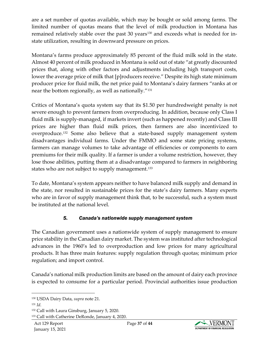are a set number of quotas available, which may be bought or sold among farms. The limited number of quotas means that the level of milk production in Montana has remained relatively stable over the past 30 years<sup>[130](#page-36-0)</sup> and exceeds what is needed for instate utilization, resulting in downward pressure on prices.

Montana's farms produce approximately 85 percent of the fluid milk sold in the state. Almost 40 percent of milk produced in Montana is sold out of state "at greatly discounted prices that, along with other factors and adjustments including high transport costs, lower the average price of milk that [p]roducers receive." Despite its high state minimum producer price for fluid milk, the net price paid to Montana's dairy farmers "ranks at or near the bottom regionally, as well as nationally."<sup>[131](#page-36-1)</sup>

Critics of Montana's quota system say that its \$1.50 per hundredweight penalty is not severe enough to prevent farmers from overproducing. In addition, because only Class I fluid milk is supply-managed, if markets invert (such as happened recently) and Class III prices are higher than fluid milk prices, then farmers are also incentivized to overproduce.[132](#page-36-2) Some also believe that a state-based supply management system disadvantages individual farms. Under the FMMO and some state pricing systems, farmers can manage volumes to take advantage of efficiencies or components to earn premiums for their milk quality. If a farmer is under a volume restriction, however, they lose those abilities, putting them at a disadvantage compared to farmers in neighboring states who are not subject to supply management.<sup>[133](#page-36-3)</sup>

To date, Montana's system appears neither to have balanced milk supply and demand in the state, nor resulted in sustainable prices for the state's dairy farmers. Many experts who are in favor of supply management think that, to be successful, such a system must be instituted at the national level.

## *5. Canada's nationwide supply management system*

The Canadian government uses a nationwide system of supply management to ensure price stability in the Canadian dairy market. The system was instituted after technological advances in the 1960's led to overproduction and low prices for many agricultural products. It has three main features: supply regulation through quotas; minimum price regulation; and import control.

Canada's national milk production limits are based on the amount of dairy each province is expected to consume for a particular period. Provincial authorities issue production



<span id="page-36-0"></span><sup>130</sup> USDA Dairy Data, *supra* note 21.

<span id="page-36-1"></span><sup>131</sup> *Id.*

<span id="page-36-2"></span><sup>132</sup> Call with Laura Ginsburg, January 5, 2020.

<span id="page-36-3"></span><sup>133</sup> Call with Catherine DeRonde, January 4, 2020.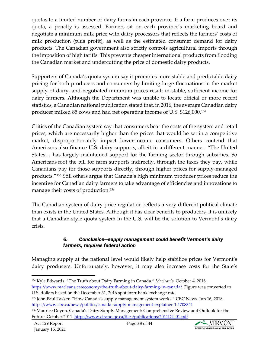quotas to a limited number of dairy farms in each province. If a farm produces over its quota, a penalty is assessed. Farmers sit on each province's marketing board and negotiate a minimum milk price with dairy processors that reflects the farmers' costs of milk production (plus profit), as well as the estimated consumer demand for dairy products. The Canadian government also strictly controls agricultural imports through the imposition of high tariffs. This prevents cheaper international products from flooding the Canadian market and undercutting the price of domestic dairy products.

Supporters of Canada's quota system say it promotes more stable and predictable dairy pricing for both producers and consumers by limiting large fluctuations in the market supply of dairy, and negotiated minimum prices result in stable, sufficient income for dairy farmers. Although the Department was unable to locate official or more recent statistics, a Canadian national publication stated that, in 2016, the average Canadian dairy producer milked 85 cows and had net operating income of U.S. \$126,000.[134](#page-37-0)

Critics of the Canadian system say that consumers bear the costs of the system and retail prices, which are necessarily higher than the prices that would be set in a competitive market, disproportionately impact lower-income consumers. Others contend that Americans also finance U.S. dairy supports, albeit in a different manner: "The United States… has largely maintained support for the farming sector through subsidies. So Americans foot the bill for farm supports indirectly, through the taxes they pay, while Canadians pay for those supports directly, through higher prices for supply-managed products."[135](#page-37-1) Still others argue that Canada's high minimum producer prices reduce the incentive for Canadian dairy farmers to take advantage of efficiencies and innovations to manage their costs of production.<sup>[136](#page-37-2)</sup>

The Canadian system of dairy price regulation reflects a very different political climate than exists in the United States. Although it has clear benefits to producers, it is unlikely that a Canadian-style quota system in the U.S. will be the solution to Vermont's dairy crisis.

#### *6. Conclusion—supply management could benefit Vermont's dairy farmers, requires federal action*

Managing supply at the national level would likely help stabilize prices for Vermont's dairy producers. Unfortunately, however, it may also increase costs for the State's



<span id="page-37-0"></span><sup>134</sup> Kyle Edwards. "The Truth about Dairy Farming in Canada." *Maclean's*. October 4, 2018. [https://www.macleans.ca/economy/the-truth-about-dairy-farming-in-canada/.](https://www.macleans.ca/economy/the-truth-about-dairy-farming-in-canada/) Figure was converted to

U.S. dollars based on the December 31, 2016 spot inter-bank exchange rate.

<span id="page-37-1"></span><sup>135</sup> John Paul Tasker. "How Canada's supply management system works." CBC News. Jun 16, 2018. <https://www.cbc.ca/news/politics/canada-supply-management-explainer-1.4708341>

<span id="page-37-2"></span><sup>136</sup> Maurice Doyon. Canada's Dairy Supply Management: Comprehensive Review and Outlook for the Future. October 2011[. https://www.cirano.qc.ca/files/publications/2011DT-01.pdf](https://www.cirano.qc.ca/files/publications/2011DT-01.pdf)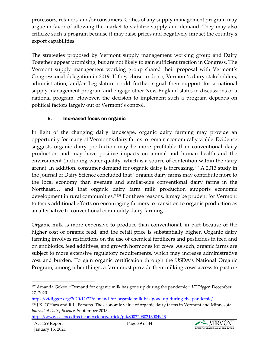processors, retailers, and/or consumers. Critics of any supply management program may argue in favor of allowing the market to stabilize supply and demand. They may also criticize such a program because it may raise prices and negatively impact the country's export capabilities.

The strategies proposed by Vermont supply management working group and Dairy Together appear promising, but are not likely to gain sufficient traction in Congress. The Vermont supply management working group shared their proposal with Vermont's Congressional delegation in 2019. If they chose to do so, Vermont's dairy stakeholders, administration, and/or Legislature could further signal their support for a national supply management program and engage other New England states in discussions of a national program. However, the decision to implement such a program depends on political factors largely out of Vermont's control.

## E. Increased focus on organic

In light of the changing dairy landscape, organic dairy farming may provide an opportunity for many of Vermont's dairy farms to remain economically viable. Evidence suggests organic dairy production may be more profitable than conventional dairy production and may have positive impacts on animal and human health and the environment (including water quality, which is a source of contention within the dairy arena). In addition, consumer demand for organic dairy is increasing.[137](#page-38-0) A 2013 study in the Journal of Dairy Science concluded that "organic dairy farms may contribute more to the local economy than average and similar-size conventional dairy farms in the Northeast… and that organic dairy farm milk production supports economic development in rural communities."[138](#page-38-1) For these reasons, it may be prudent for Vermont to focus additional efforts on encouraging farmers to transition to organic production as an alternative to conventional commodity dairy farming.

Organic milk is more expensive to produce than conventional, in part because of the higher cost of organic feed, and the retail price is substantially higher. Organic dairy farming involves restrictions on the use of chemical fertilizers and pesticides in feed and on antibiotics, feed additives, and growth hormones for cows. As such, organic farms are subject to more extensive regulatory requirements, which may increase administrative cost and burden. To gain organic certification through the USDA's National Organic Program, among other things, a farm must provide their milking cows access to pasture



<span id="page-38-0"></span><sup>137</sup> Amanda Gokee. "Demand for organic milk has gone up during the pandemic." *VTDigger*. December 27, 2020.

<https://vtdigger.org/2020/12/27/demand-for-organic-milk-has-gone-up-during-the-pandemic/>

<span id="page-38-1"></span><sup>&</sup>lt;sup>138</sup> J.K. O'Hara and R.L. Parsons. The economic value of organic dairy farms in Vermont and Minnesota. *Journal of Dairy Science*. September 2013.

<https://www.sciencedirect.com/science/article/pii/S0022030213004943>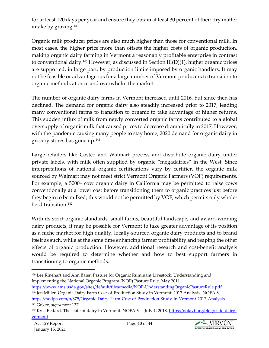for at least 120 days per year and ensure they obtain at least 30 percent of their dry matter intake by grazing.[139](#page-39-0)

Organic milk producer prices are also much higher than those for conventional milk. In most cases, the higher price more than offsets the higher costs of organic production, making organic dairy farming in Vermont a reasonably profitable enterprise in contrast to conventional dairy.<sup>[140](#page-39-1)</sup> However, as discussed in Section III(D)(1), higher organic prices are supported, in large part, by production limits imposed by organic handlers. It may not be feasible or advantageous for a large number of Vermont producers to transition to organic methods at once and overwhelm the market.

The number of organic dairy farms in Vermont increased until 2016, but since then has declined. The demand for organic dairy also steadily increased prior to 2017, leading many conventional farms to transition to organic to take advantage of higher returns. This sudden influx of milk from newly converted organic farms contributed to a global oversupply of organic milk that caused prices to decrease dramatically in 2017. However, with the pandemic causing many people to stay home, 2020 demand for organic dairy in grocery stores has gone up.[141](#page-39-2)

Large retailers like Costco and Walmart process and distribute organic dairy under private labels, with milk often supplied by organic "megadairies" in the West. Since interpretations of national organic certifications vary by certifier, the organic milk sourced by Walmart may not meet strict Vermont Organic Farmers (VOF) requirements. For example, a 5000+ cow organic dairy in California may be permitted to raise cows conventionally at a lower cost before transitioning them to organic practices just before they begin to be milked; this would not be permitted by VOF, which permits only wholeherd transition.<sup>142</sup>

With its strict organic standards, small farms, beautiful landscape, and award-winning dairy products, it may be possible for Vermont to take greater advantage of its position as a niche market for high quality, locally-sourced organic dairy products and to brand itself as such, while at the same time enhancing farmer profitability and reaping the other effects of organic production. However, additional research and cost-benefit analysis would be required to determine whether and how to best support farmers in transitioning to organic methods.



<span id="page-39-0"></span><sup>139</sup> Lee Rinehart and Ann Baier. Pasture for Organic Ruminant Livestock: Understanding and Implementing the National Organic Program (NOP) Pasture Rule. May 2011.

<span id="page-39-1"></span><https://www.ams.usda.gov/sites/default/files/media/NOP-UnderstandingOrganicPastureRule.pdf> <sup>140</sup> Jen Miller. Organic Dairy Farm Cost-of-Production Study in Vermont: 2017 Analysis. NOFA VT. <https://nodpa.com/n/875/Organic-Dairy-Farm-Cost-of-Production-Study-in-Vermont-2017-Analysis> <sup>141</sup> Gokee, *supra* note 137.

<span id="page-39-3"></span><span id="page-39-2"></span><sup>&</sup>lt;sup>142</sup> Kyla Bedard. The state of dairy in Vermont. NOFA VT. July 1, 2018[. https://nofavt.org/blog/state-dairy](https://nofavt.org/blog/state-dairy-vermont)[vermont](https://nofavt.org/blog/state-dairy-vermont)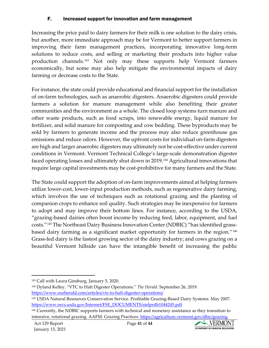#### F. Increased support for innovation and farm management

Increasing the price paid to dairy farmers for their milk is one solution to the dairy crisis, but another, more immediate approach may be for Vermont to better support farmers in improving their farm management practices, incorporating innovative long-term solutions to reduce costs, and selling or marketing their products into higher value production channels.[143](#page-40-0) Not only may these supports help Vermont farmers economically, but some may also help mitigate the environmental impacts of dairy farming or decrease costs to the State.

For instance, the state could provide educational and financial support for the installation of on-farm technologies, such as anaerobic digesters. Anaerobic digesters could provide farmers a solution for manure management while also benefiting their greater communities and the environment as a whole. The closed loop systems turn manure and other waste products, such as food scraps, into renewable energy, liquid manure for fertilizer, and solid manure for composting and cow bedding. These byproducts may be sold by farmers to generate income and the process may also reduce greenhouse gas emissions and reduce odors. However, the upfront costs for individual on-farm digesters are high and larger anaerobic digesters may ultimately not be cost-effective under current conditions in Vermont. Vermont Technical College's large-scale demonstration digester faced operating losses and ultimately shut down in 2019.<sup>[144](#page-40-1)</sup> Agricultural innovations that require large capital investments may be cost-prohibitive for many farmers and the State.

The State could support the adoption of on-farm improvements aimed at helping farmers utilize lower-cost, lower-input production methods, such as regenerative dairy farming, which involves the use of techniques such as rotational grazing and the planting of companion crops to enhance soil quality. Such strategies may be inexpensive for farmers to adopt and may improve their bottom lines. For instance, according to the USDA, "grazing-based dairies often boost income by reducing feed, labor, equipment, and fuel costs."[145](#page-40-2) The Northeast Dairy Business Innovation Center (NDBIC) "has identified grassbased dairy farming as a significant market opportunity for farmers in the region."[146](#page-40-3) Grass-fed dairy is the fastest growing sector of the dairy industry; and cows grazing on a beautiful Vermont hillside can have the intangible benefit of increasing the public



<span id="page-40-0"></span><sup>143</sup> Call with Laura Ginsburg, January 5, 2020.

<span id="page-40-1"></span><sup>144</sup> Dyland Kelley. "VTC to Halt Digester Operations." *The Herald*. September 26, 2019. <https://www.ourherald.com/articles/vtc-to-halt-digester-operations/>

<span id="page-40-2"></span><sup>145</sup> USDA Natural Resources Conservation Service. Profitable Grazing-Based Dairy Systems. May 2007. [https://www.nrcs.usda.gov/Internet/FSE\\_DOCUMENTS/stelprdb1044245.pdf](https://www.nrcs.usda.gov/Internet/FSE_DOCUMENTS/stelprdb1044245.pdf)

<span id="page-40-3"></span><sup>146</sup> Currently, the NDBIC supports farmers with technical and monetary assistance as they transition to intensive, rotational grazing. AAFM. Grazing Practices.<https://agriculture.vermont.gov/dbic/grazing>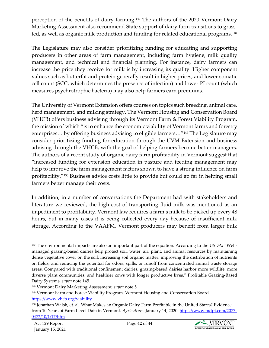perception of the benefits of dairy farming.<sup>[147](#page-41-0)</sup> The authors of the 2020 Vermont Dairy Marketing Assessment also recommend State support of dairy farm transitions to grassfed, as well as organic milk production and funding for related educational programs.[148](#page-41-1)

The Legislature may also consider prioritizing funding for educating and supporting producers in other areas of farm management, including farm hygiene, milk quality management, and technical and financial planning. For instance, dairy farmers can increase the price they receive for milk is by increasing its quality. Higher component values such as butterfat and protein generally result in higher prices, and lower somatic cell count (SCC, which determines the presence of infection) and lower PI count (which measures psychrotrophic bacteria) may also help farmers earn premiums.

The University of Vermont Extension offers courses on topics such breeding, animal care, herd management, and milking strategy. The Vermont Housing and Conservation Board (VHCB) offers business advising through its Vermont Farm & Forest Viability Program, the mission of which "is to enhance the economic viability of Vermont farms and forestry enterprises… by offering business advising to eligible farmers…"[149](#page-41-2) The Legislature may consider prioritizing funding for education through the UVM Extension and business advising through the VHCB, with the goal of helping farmers become better managers. The authors of a recent study of organic dairy farm profitability in Vermont suggest that "increased funding for extension education in pasture and feeding management may help to improve the farm management factors shown to have a strong influence on farm profitability."[150](#page-41-3) Business advice costs little to provide but could go far in helping small farmers better manage their costs.

In addition, in a number of conversations the Department had with stakeholders and literature we reviewed, the high cost of transporting fluid milk was mentioned as an impediment to profitability. Vermont law requires a farm's milk to be picked up every 48 hours, but in many cases it is being collected every day because of insufficient milk storage. According to the VAAFM, Vermont producers may benefit from larger bulk



<span id="page-41-0"></span><sup>&</sup>lt;sup>147</sup> The environmental impacts are also an important part of the equation. According to the USDA: "Wellmanaged grazing-based dairies help protect soil, water, air, plant, and animal resources by maintaining dense vegetative cover on the soil, increasing soil organic matter, improving the distribution of nutrients on fields, and reducing the potential for odors, spills, or runoff from concentrated animal waste storage areas. Compared with traditional confinement dairies, grazing-based dairies harbor more wildlife, more diverse plant communities, and healthier cows with longer productive lives." Profitable Grazing-Based Dairy Systems, *supra* note 145.

<span id="page-41-1"></span><sup>148</sup> Vermont Dairy Marketing Assessment, *supra* note 5.

<span id="page-41-2"></span><sup>149</sup> Vermont Farm and Forest Viability Program. Vermont Housing and Conservation Board. <https://www.vhcb.org/viability>

<span id="page-41-3"></span><sup>150</sup> Jonathan Walsh, et. al. What Makes an Organic Dairy Farm Profitable in the United States? Evidence from 10 Years of Farm Level Data in Vermont. *Agriculture*. January 14, 2020. [https://www.mdpi.com/2077-](https://www.mdpi.com/2077-0472/10/1/17/htm) [0472/10/1/17/htm](https://www.mdpi.com/2077-0472/10/1/17/htm)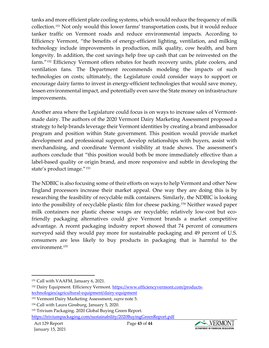tanks and more efficient plate cooling systems, which would reduce the frequency of milk collection.[151](#page-42-0) Not only would this lower farms' transportation costs, but it would reduce tanker traffic on Vermont roads and reduce environmental impacts. According to Efficiency Vermont, "the benefits of energy-efficient lighting, ventilation, and milking technology include improvements in production, milk quality, cow health, and barn longevity. In addition, the cost savings help free up cash that can be reinvested on the farm."[152](#page-42-1) Efficiency Vermont offers rebates for heath recovery units, plate coolers, and ventilation fans. The Department recommends modeling the impacts of such technologies on costs; ultimately, the Legislature could consider ways to support or encourage dairy farms to invest in energy-efficient technologies that would save money, lessen environmental impact, and potentially even save the State money on infrastructure improvements.

Another area where the Legislature could focus is on ways to increase sales of Vermontmade dairy. The authors of the 2020 Vermont Dairy Marketing Assessment proposed a strategy to help brands leverage their Vermont identities by creating a brand ambassador program and position within State government. This position would provide market development and professional support, develop relationships with buyers, assist with merchandising, and coordinate Vermont visibility at trade shows. The assessment's authors conclude that "this position would both be more immediately effective than a label-based quality or origin brand, and more responsive and subtle in developing the state's product image."[153](#page-42-2)

The NDBIC is also focusing some of their efforts on ways to help Vermont and other New England processors increase their market appeal. One way they are doing this is by researching the feasibility of recyclable milk containers. Similarly, the NDBIC is looking into the possibility of recyclable plastic film for cheese packing.[154](#page-42-3) Neither waxed paper milk containers nor plastic cheese wraps are recyclable; relatively low-cost but ecofriendly packaging alternatives could give Vermont brands a market competitive advantage. A recent packaging industry report showed that 74 percent of consumers surveyed said they would pay more for sustainable packaging and 49 percent of U.S. consumers are less likely to buy products in packaging that is harmful to the environment.[155](#page-42-4)



<span id="page-42-0"></span><sup>151</sup> Call with VAAFM, January 6, 2021.

<span id="page-42-1"></span><sup>&</sup>lt;sup>152</sup> Dairy Equipment. Efficiency Vermont. [https://www.efficiencyvermont.com/products](https://www.efficiencyvermont.com/products-technologies/agricultural-equipment/dairy-equipment)[technologies/agricultural-equipment/dairy-equipment](https://www.efficiencyvermont.com/products-technologies/agricultural-equipment/dairy-equipment)

<span id="page-42-2"></span><sup>153</sup> Vermont Dairy Marketing Assessment, *supra* note 5.

<span id="page-42-3"></span><sup>154</sup> Call with Laura Ginsburg, January 5, 2020.

<span id="page-42-4"></span><sup>155</sup> Trivium Packaging. 2020 Global Buying Green Report. <https://triviumpackaging.com/sustainability/2020BuyingGreenReport.pdf>